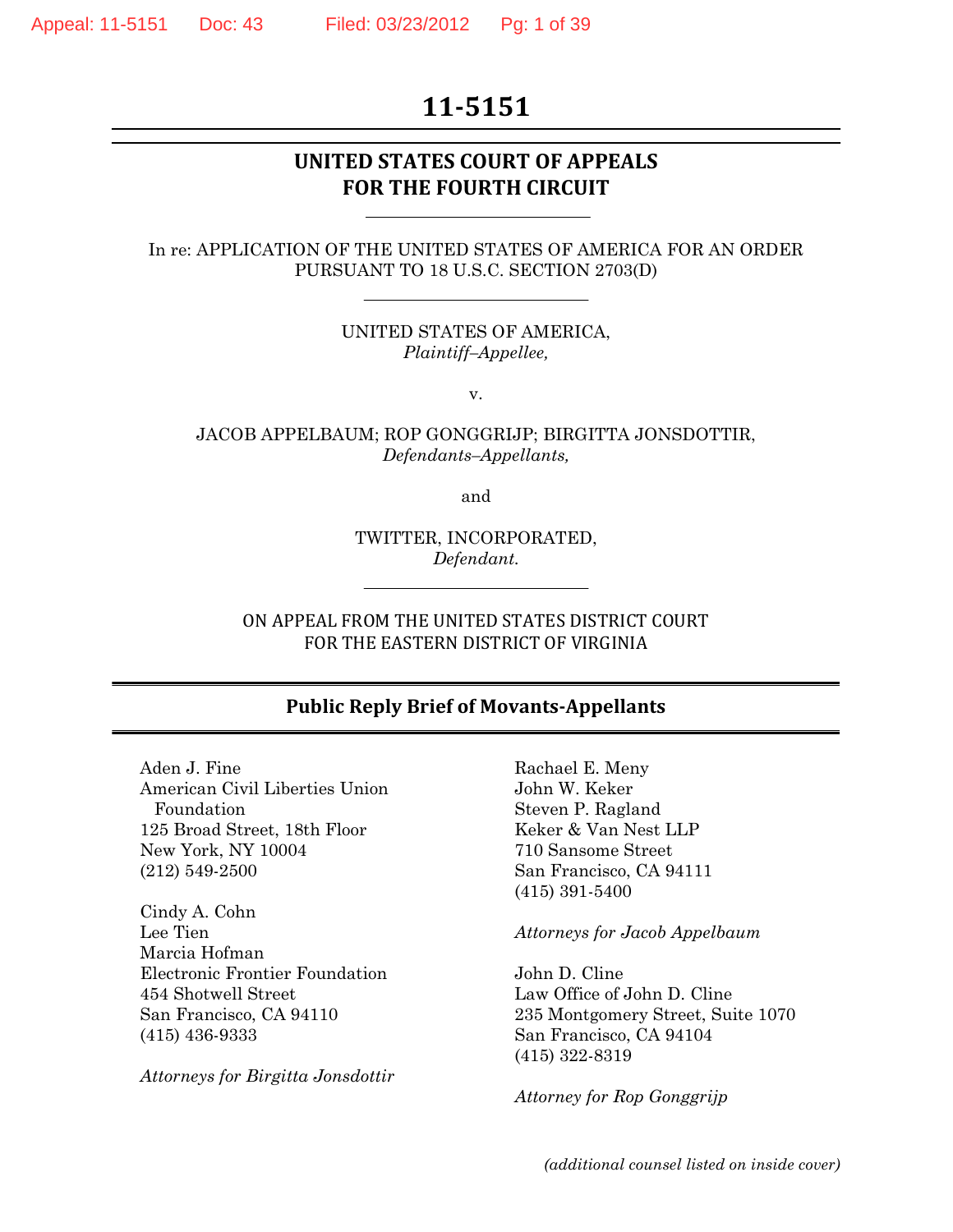# **11-5151**

## **UNITED STATES COURT OF APPEALS FOR THE FOURTH CIRCUIT**

#### In re: APPLICATION OF THE UNITED STATES OF AMERICA FOR AN ORDER PURSUANT TO 18 U.S.C. SECTION 2703(D)

UNITED STATES OF AMERICA, *Plaintiff–Appellee,*

v.

JACOB APPELBAUM; ROP GONGGRIJP; BIRGITTA JONSDOTTIR, *Defendants–Appellants,*

and

TWITTER, INCORPORATED, *Defendant.*

ON APPEAL FROM THE UNITED STATES DISTRICT COURT FOR THE EASTERN DISTRICT OF VIRGINIA

#### **Public Reply Brief of Movants-Appellants**

Aden J. Fine American Civil Liberties Union Foundation 125 Broad Street, 18th Floor New York, NY 10004 (212) 549-2500

Cindy A. Cohn Lee Tien Marcia Hofman Electronic Frontier Foundation 454 Shotwell Street San Francisco, CA 94110 (415) 436-9333

*Attorneys for Birgitta Jonsdottir*

Rachael E. Meny John W. Keker Steven P. Ragland Keker & Van Nest LLP 710 Sansome Street San Francisco, CA 94111 (415) 391-5400

*Attorneys for Jacob Appelbaum*

John D. Cline Law Office of John D. Cline 235 Montgomery Street, Suite 1070 San Francisco, CA 94104 (415) 322-8319

*Attorney for Rop Gonggrijp*

*(additional counsel listed on inside cover)*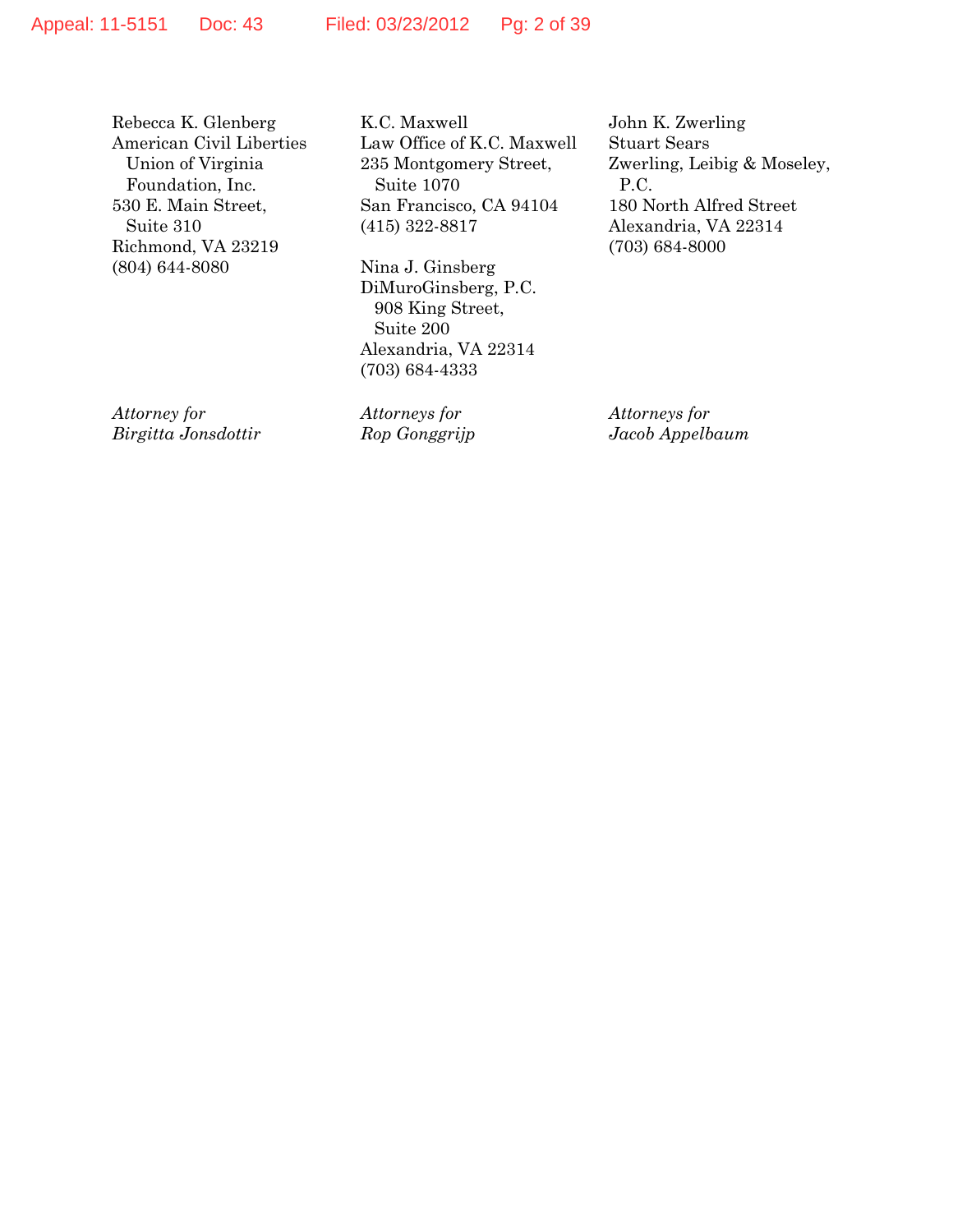Rebecca K. Glenberg American Civil Liberties Union of Virginia Foundation, Inc. 530 E. Main Street, Suite 310 Richmond, VA 23219 (804) 644-8080

K.C. Maxwell Law Office of K.C. Maxwell 235 Montgomery Street, Suite 1070 San Francisco, CA 94104 (415) 322-8817

Nina J. Ginsberg DiMuroGinsberg, P.C. 908 King Street, Suite 200 Alexandria, VA 22314 (703) 684-4333

*Attorney for Birgitta Jonsdottir* *Attorneys for Rop Gonggrijp* John K. Zwerling Stuart Sears Zwerling, Leibig & Moseley, P.C. 180 North Alfred Street Alexandria, VA 22314 (703) 684-8000

*Attorneys for Jacob Appelbaum*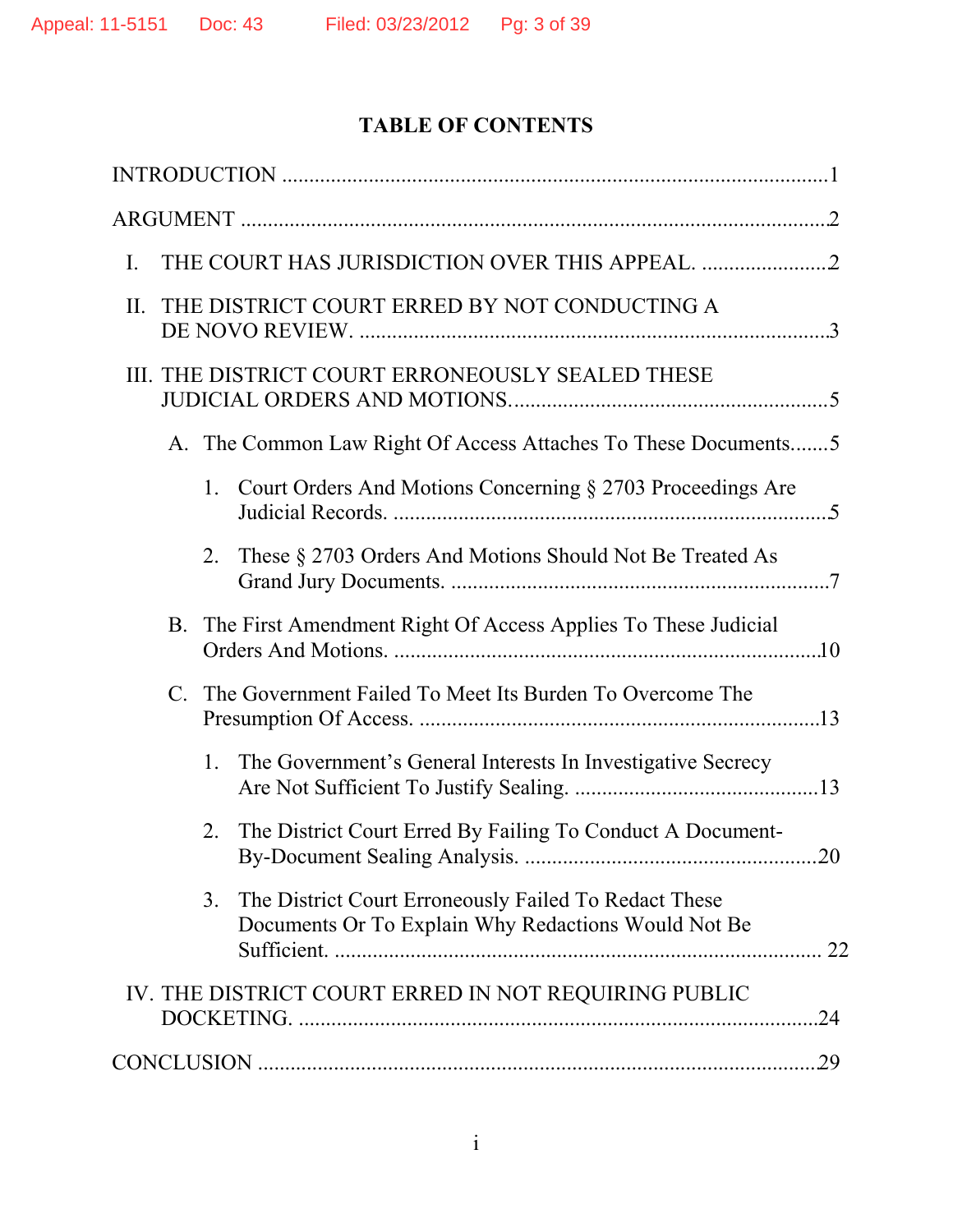# **TABLE OF CONTENTS**

| I.                                                                                                                             |
|--------------------------------------------------------------------------------------------------------------------------------|
| THE DISTRICT COURT ERRED BY NOT CONDUCTING A<br>II.                                                                            |
| III. THE DISTRICT COURT ERRONEOUSLY SEALED THESE                                                                               |
| A. The Common Law Right Of Access Attaches To These Documents5                                                                 |
| Court Orders And Motions Concerning § 2703 Proceedings Are<br>1.                                                               |
| These § 2703 Orders And Motions Should Not Be Treated As<br>2.                                                                 |
| B. The First Amendment Right Of Access Applies To These Judicial                                                               |
| The Government Failed To Meet Its Burden To Overcome The<br>$\mathbf{C}$ .                                                     |
| The Government's General Interests In Investigative Secrecy<br>1.                                                              |
| The District Court Erred By Failing To Conduct A Document-<br>2.                                                               |
| 3 <sub>1</sub><br>The District Court Erroneously Failed To Redact These<br>Documents Or To Explain Why Redactions Would Not Be |
| IV. THE DISTRICT COURT ERRED IN NOT REQUIRING PUBLIC<br>.24                                                                    |
| 29                                                                                                                             |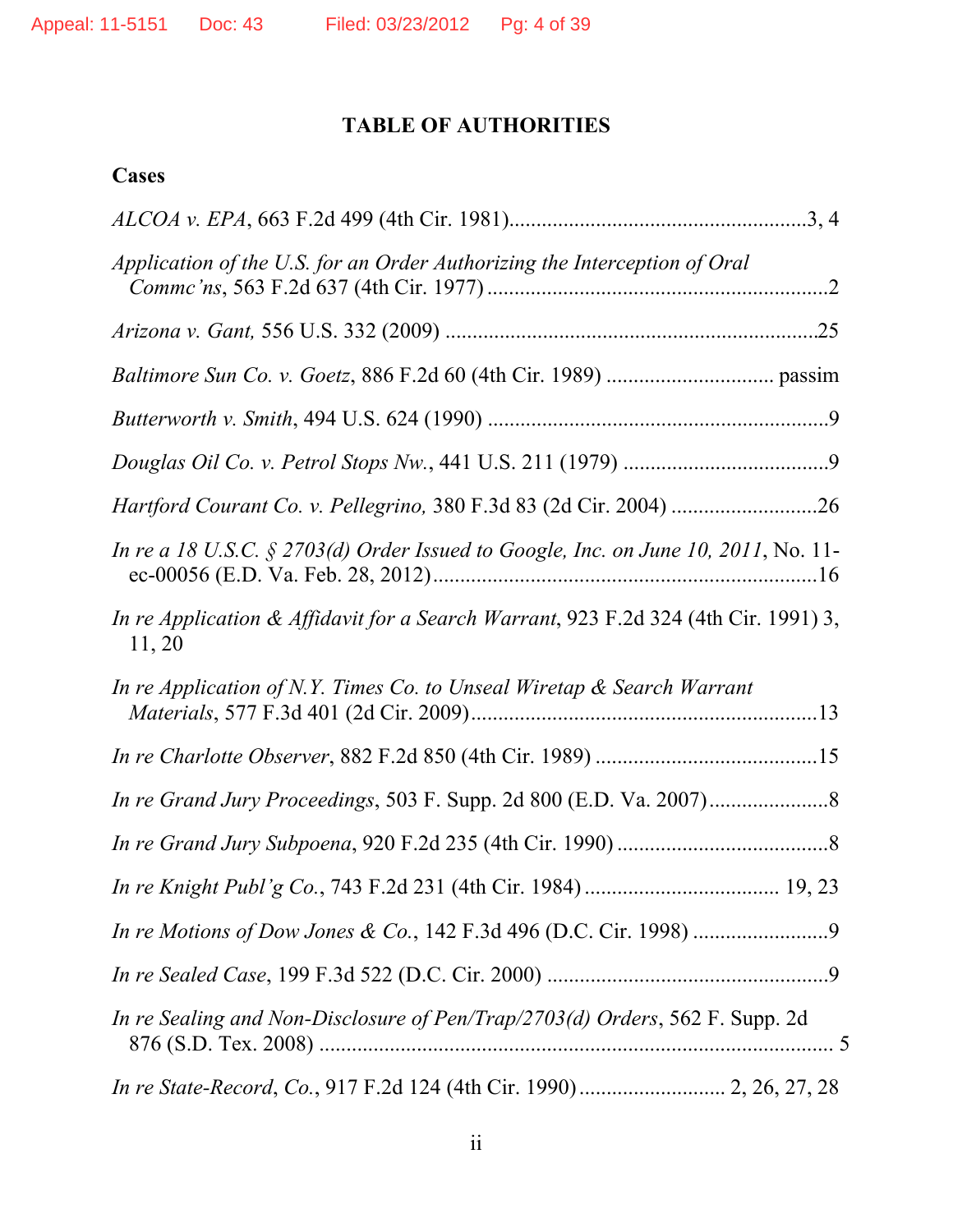# **TABLE OF AUTHORITIES**

# **Cases**

| Application of the U.S. for an Order Authorizing the Interception of Oral                     |
|-----------------------------------------------------------------------------------------------|
|                                                                                               |
|                                                                                               |
|                                                                                               |
|                                                                                               |
| Hartford Courant Co. v. Pellegrino, 380 F.3d 83 (2d Cir. 2004) 26                             |
| In re a 18 U.S.C. § 2703(d) Order Issued to Google, Inc. on June 10, 2011, No. 11-            |
| In re Application & Affidavit for a Search Warrant, 923 F.2d 324 (4th Cir. 1991) 3,<br>11, 20 |
| In re Application of N.Y. Times Co. to Unseal Wiretap & Search Warrant                        |
|                                                                                               |
|                                                                                               |
|                                                                                               |
|                                                                                               |
|                                                                                               |
|                                                                                               |
| In re Sealing and Non-Disclosure of Pen/Trap/2703(d) Orders, 562 F. Supp. 2d                  |
|                                                                                               |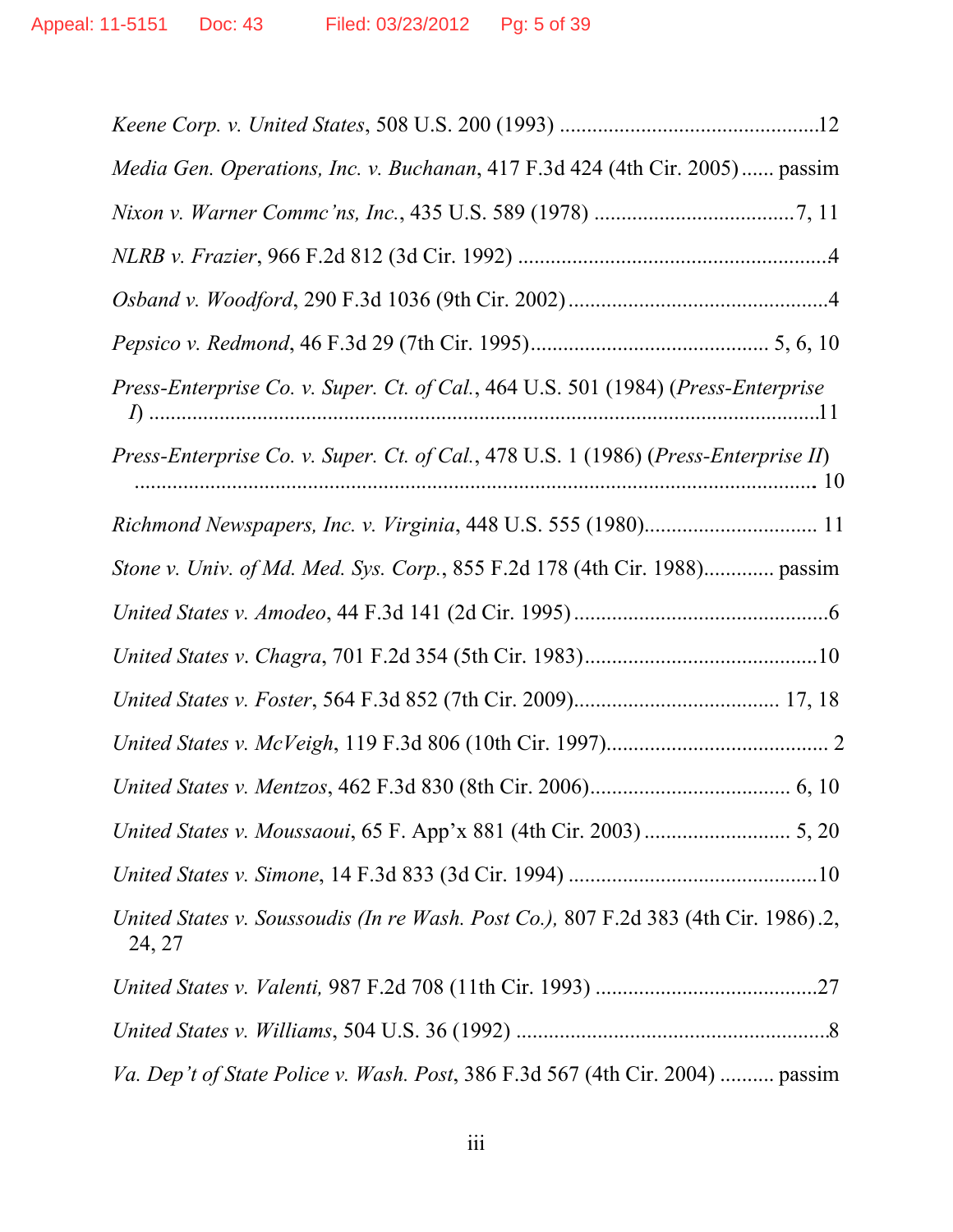| Media Gen. Operations, Inc. v. Buchanan, 417 F.3d 424 (4th Cir. 2005) passim                  |
|-----------------------------------------------------------------------------------------------|
|                                                                                               |
|                                                                                               |
|                                                                                               |
|                                                                                               |
| Press-Enterprise Co. v. Super. Ct. of Cal., 464 U.S. 501 (1984) (Press-Enterprise             |
| Press-Enterprise Co. v. Super. Ct. of Cal., 478 U.S. 1 (1986) (Press-Enterprise II)           |
|                                                                                               |
| Stone v. Univ. of Md. Med. Sys. Corp., 855 F.2d 178 (4th Cir. 1988) passim                    |
|                                                                                               |
|                                                                                               |
|                                                                                               |
|                                                                                               |
|                                                                                               |
|                                                                                               |
|                                                                                               |
| United States v. Soussoudis (In re Wash. Post Co.), 807 F.2d 383 (4th Cir. 1986).2,<br>24, 27 |
|                                                                                               |
|                                                                                               |
| Va. Dep't of State Police v. Wash. Post, 386 F.3d 567 (4th Cir. 2004)  passim                 |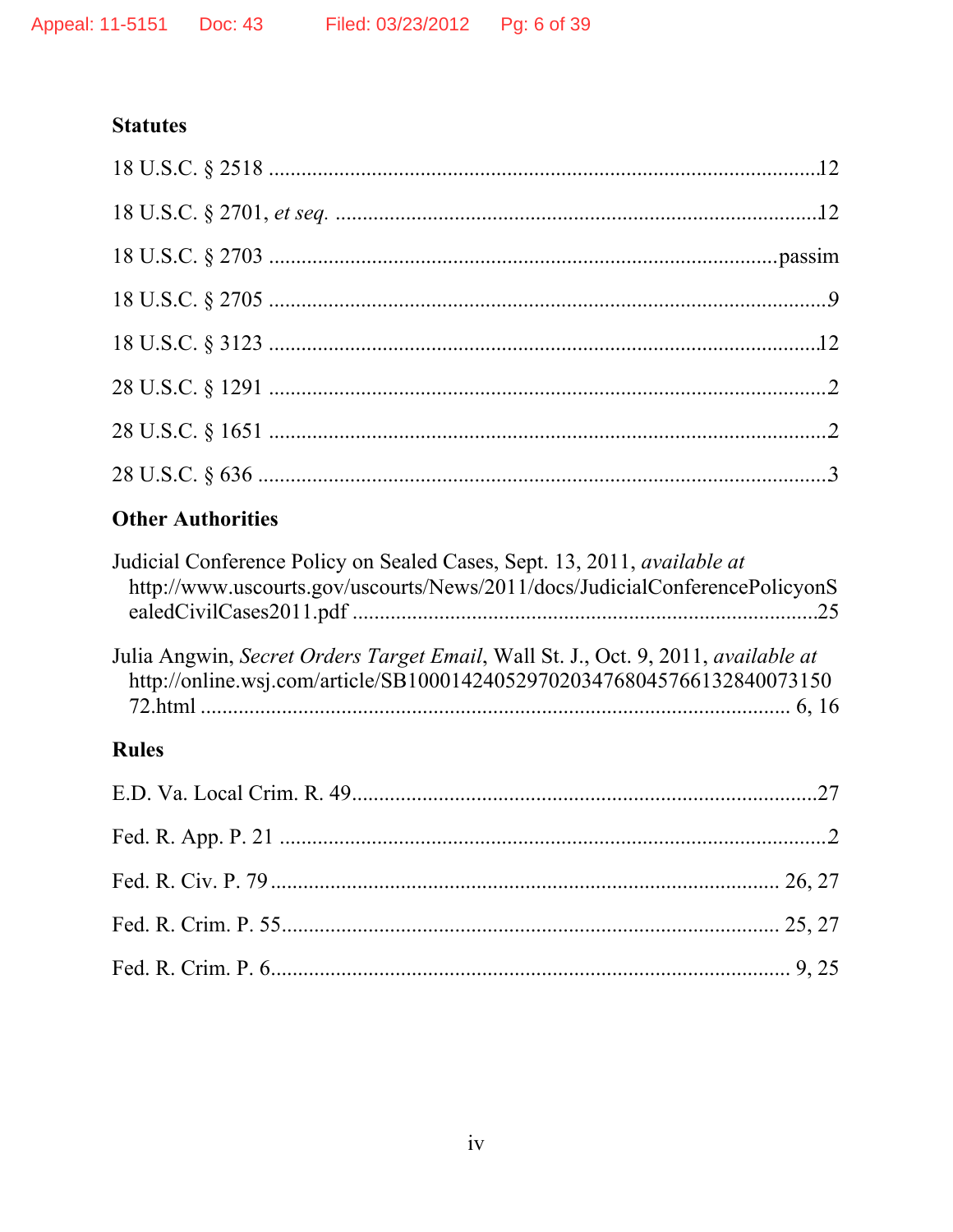# **Statutes**

| <b>Other Authorities</b>                                                        |  |
|---------------------------------------------------------------------------------|--|
| Judicial Conference Policy on Sealed Cases, Sept. 13, 2011, <i>available at</i> |  |

| Judicial Conference Policy on Sealed Cases, Sept. 13, 2011, <i>available at</i><br>http://www.uscourts.gov/uscourts/News/2011/docs/JudicialConferencePolicyonS |  |
|----------------------------------------------------------------------------------------------------------------------------------------------------------------|--|
| Julia Angwin, Secret Orders Target Email, Wall St. J., Oct. 9, 2011, available at                                                                              |  |
| http://online.wsj.com/article/SB100014240529702034768045766132840073150                                                                                        |  |

# Rules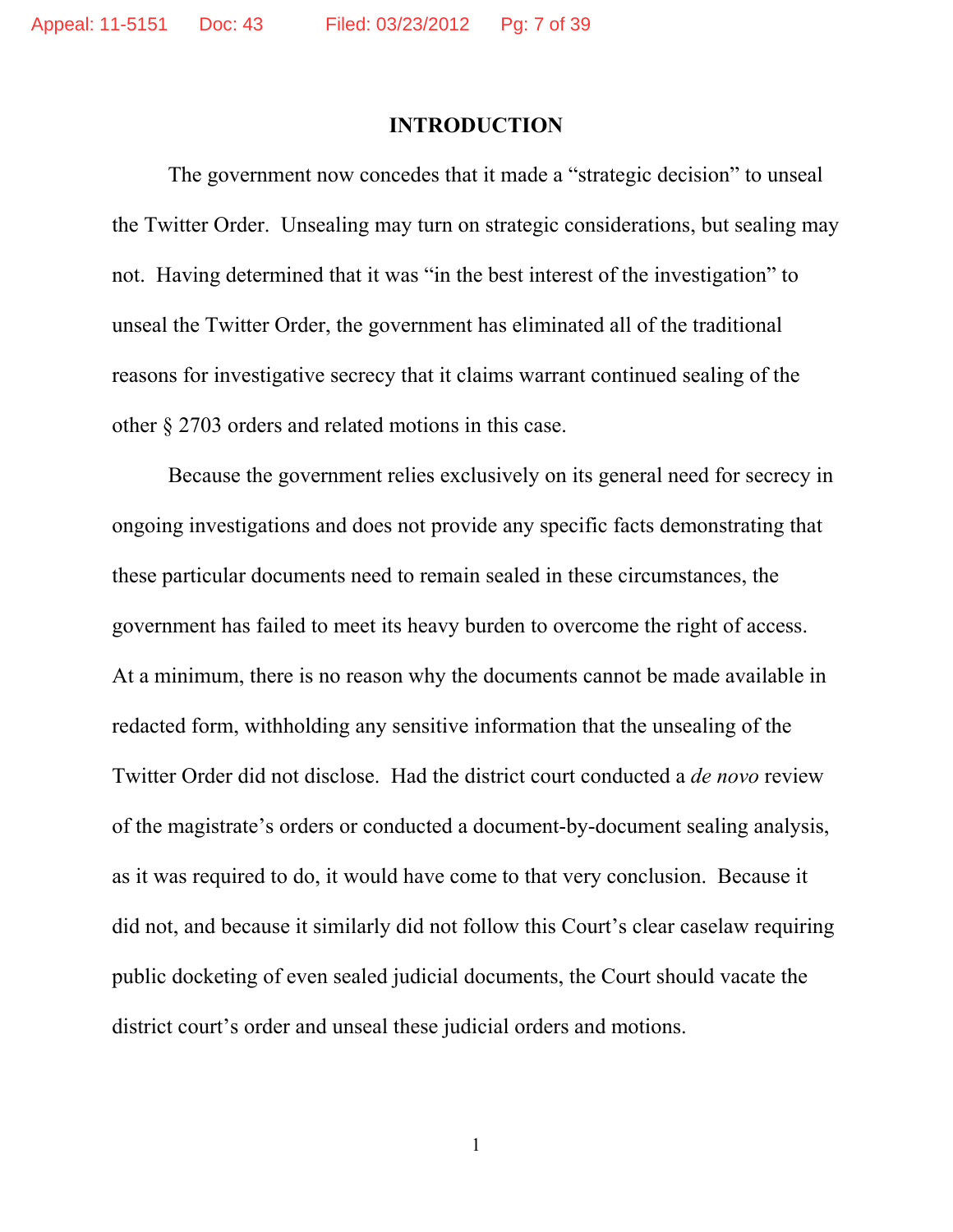#### **INTRODUCTION**

The government now concedes that it made a "strategic decision" to unseal the Twitter Order. Unsealing may turn on strategic considerations, but sealing may not. Having determined that it was "in the best interest of the investigation" to unseal the Twitter Order, the government has eliminated all of the traditional reasons for investigative secrecy that it claims warrant continued sealing of the other § 2703 orders and related motions in this case.

Because the government relies exclusively on its general need for secrecy in ongoing investigations and does not provide any specific facts demonstrating that these particular documents need to remain sealed in these circumstances, the government has failed to meet its heavy burden to overcome the right of access. At a minimum, there is no reason why the documents cannot be made available in redacted form, withholding any sensitive information that the unsealing of the Twitter Order did not disclose. Had the district court conducted a *de novo* review of the magistrate's orders or conducted a document-by-document sealing analysis, as it was required to do, it would have come to that very conclusion. Because it did not, and because it similarly did not follow this Court's clear caselaw requiring public docketing of even sealed judicial documents, the Court should vacate the district court's order and unseal these judicial orders and motions.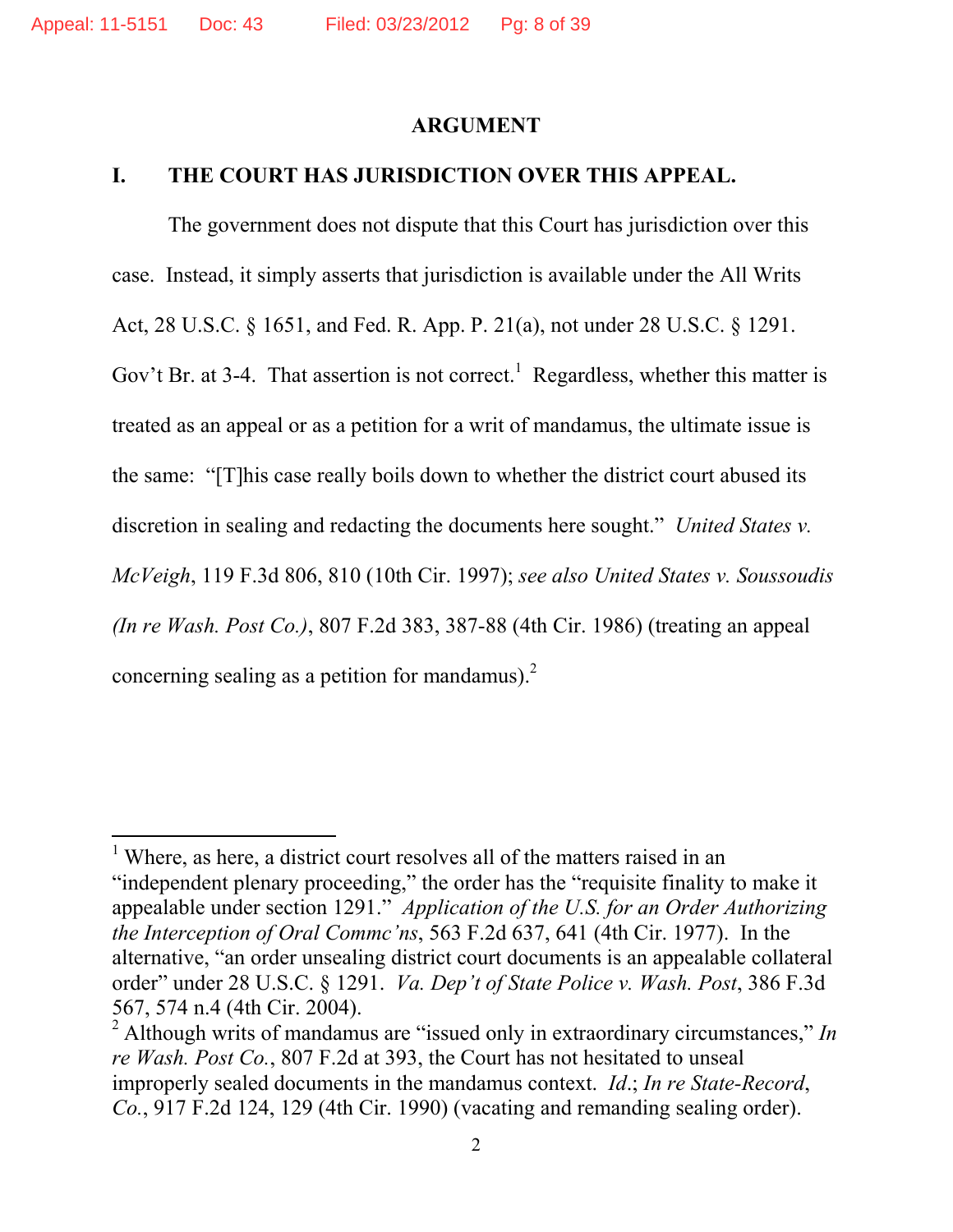#### **ARGUMENT**

### **I. THE COURT HAS JURISDICTION OVER THIS APPEAL.**

The government does not dispute that this Court has jurisdiction over this case. Instead, it simply asserts that jurisdiction is available under the All Writs Act, 28 U.S.C. § 1651, and Fed. R. App. P. 21(a), not under 28 U.S.C. § 1291. Gov't Br. at 3-4. That assertion is not correct.<sup>1</sup> Regardless, whether this matter is treated as an appeal or as a petition for a writ of mandamus, the ultimate issue is the same: "[T]his case really boils down to whether the district court abused its discretion in sealing and redacting the documents here sought." *United States v. McVeigh*, 119 F.3d 806, 810 (10th Cir. 1997); *see also United States v. Soussoudis (In re Wash. Post Co.)*, 807 F.2d 383, 387-88 (4th Cir. 1986) (treating an appeal concerning sealing as a petition for mandamus). $^{2}$ 

 $1$  Where, as here, a district court resolves all of the matters raised in an "independent plenary proceeding," the order has the "requisite finality to make it appealable under section 1291." *Application of the U.S. for an Order Authorizing the Interception of Oral Commc'ns*, 563 F.2d 637, 641 (4th Cir. 1977). In the alternative, "an order unsealing district court documents is an appealable collateral order" under 28 U.S.C. § 1291. *Va. Dep't of State Police v. Wash. Post*, 386 F.3d 567, 574 n.4 (4th Cir. 2004).

<sup>2</sup> Although writs of mandamus are "issued only in extraordinary circumstances," *In re Wash. Post Co.*, 807 F.2d at 393, the Court has not hesitated to unseal improperly sealed documents in the mandamus context. *Id*.; *In re State-Record*, *Co.*, 917 F.2d 124, 129 (4th Cir. 1990) (vacating and remanding sealing order).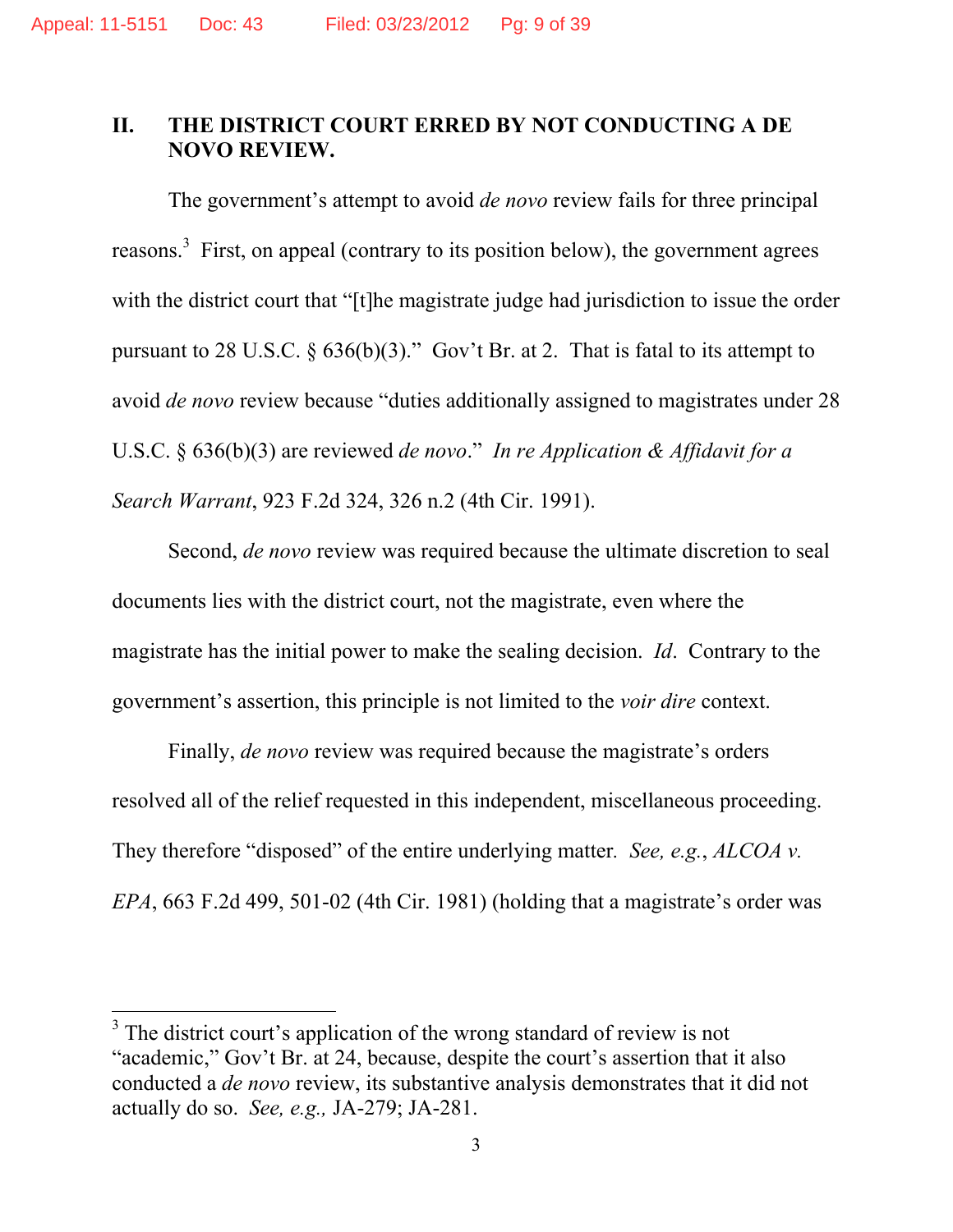### **II. THE DISTRICT COURT ERRED BY NOT CONDUCTING A DE NOVO REVIEW.**

The government's attempt to avoid *de novo* review fails for three principal reasons.<sup>3</sup> First, on appeal (contrary to its position below), the government agrees with the district court that "[t]he magistrate judge had jurisdiction to issue the order pursuant to 28 U.S.C.  $\S$  636(b)(3)." Gov't Br. at 2. That is fatal to its attempt to avoid *de novo* review because "duties additionally assigned to magistrates under 28 U.S.C. § 636(b)(3) are reviewed *de novo*." *In re Application & Affidavit for a Search Warrant*, 923 F.2d 324, 326 n.2 (4th Cir. 1991).

Second, *de novo* review was required because the ultimate discretion to seal documents lies with the district court, not the magistrate, even where the magistrate has the initial power to make the sealing decision. *Id*. Contrary to the government's assertion, this principle is not limited to the *voir dire* context.

Finally, *de novo* review was required because the magistrate's orders resolved all of the relief requested in this independent, miscellaneous proceeding. They therefore "disposed" of the entire underlying matter*. See, e.g.*, *ALCOA v. EPA*, 663 F.2d 499, 501-02 (4th Cir. 1981) (holding that a magistrate's order was

 $3$  The district court's application of the wrong standard of review is not "academic," Gov't Br. at 24, because, despite the court's assertion that it also conducted a *de novo* review, its substantive analysis demonstrates that it did not actually do so. *See, e.g.,* JA-279; JA-281.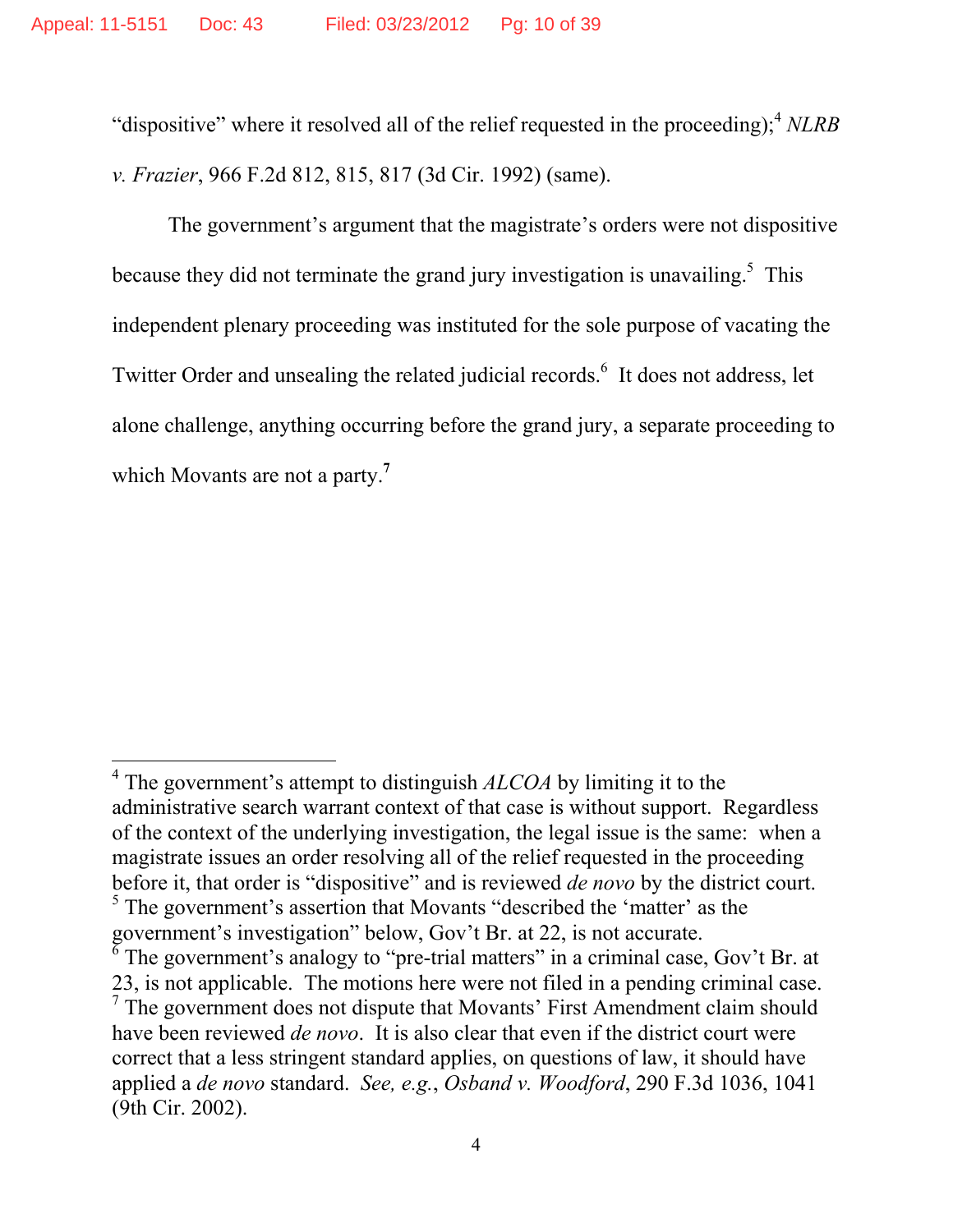"dispositive" where it resolved all of the relief requested in the proceeding);4 *NLRB v. Frazier*, 966 F.2d 812, 815, 817 (3d Cir. 1992) (same).

The government's argument that the magistrate's orders were not dispositive because they did not terminate the grand jury investigation is unavailing.<sup>5</sup> This independent plenary proceeding was instituted for the sole purpose of vacating the Twitter Order and unsealing the related judicial records.<sup>6</sup> It does not address, let alone challenge, anything occurring before the grand jury, a separate proceeding to which Movants are not a party.**<sup>7</sup>**

<sup>&</sup>lt;sup>4</sup> The government's attempt to distinguish *ALCOA* by limiting it to the administrative search warrant context of that case is without support. Regardless of the context of the underlying investigation, the legal issue is the same: when a magistrate issues an order resolving all of the relief requested in the proceeding before it, that order is "dispositive" and is reviewed *de novo* by the district court. <sup>5</sup> The government's assertion that Movants "described the 'matter' as the

government's investigation" below, Gov't Br. at 22, is not accurate.

<sup>6</sup> The government's analogy to "pre-trial matters" in a criminal case, Gov't Br. at 23, is not applicable. The motions here were not filed in a pending criminal case.  $7$  The government does not dispute that Movants' First Amendment claim should have been reviewed *de novo*. It is also clear that even if the district court were correct that a less stringent standard applies, on questions of law, it should have applied a *de novo* standard. *See, e.g.*, *Osband v. Woodford*, 290 F.3d 1036, 1041 (9th Cir. 2002).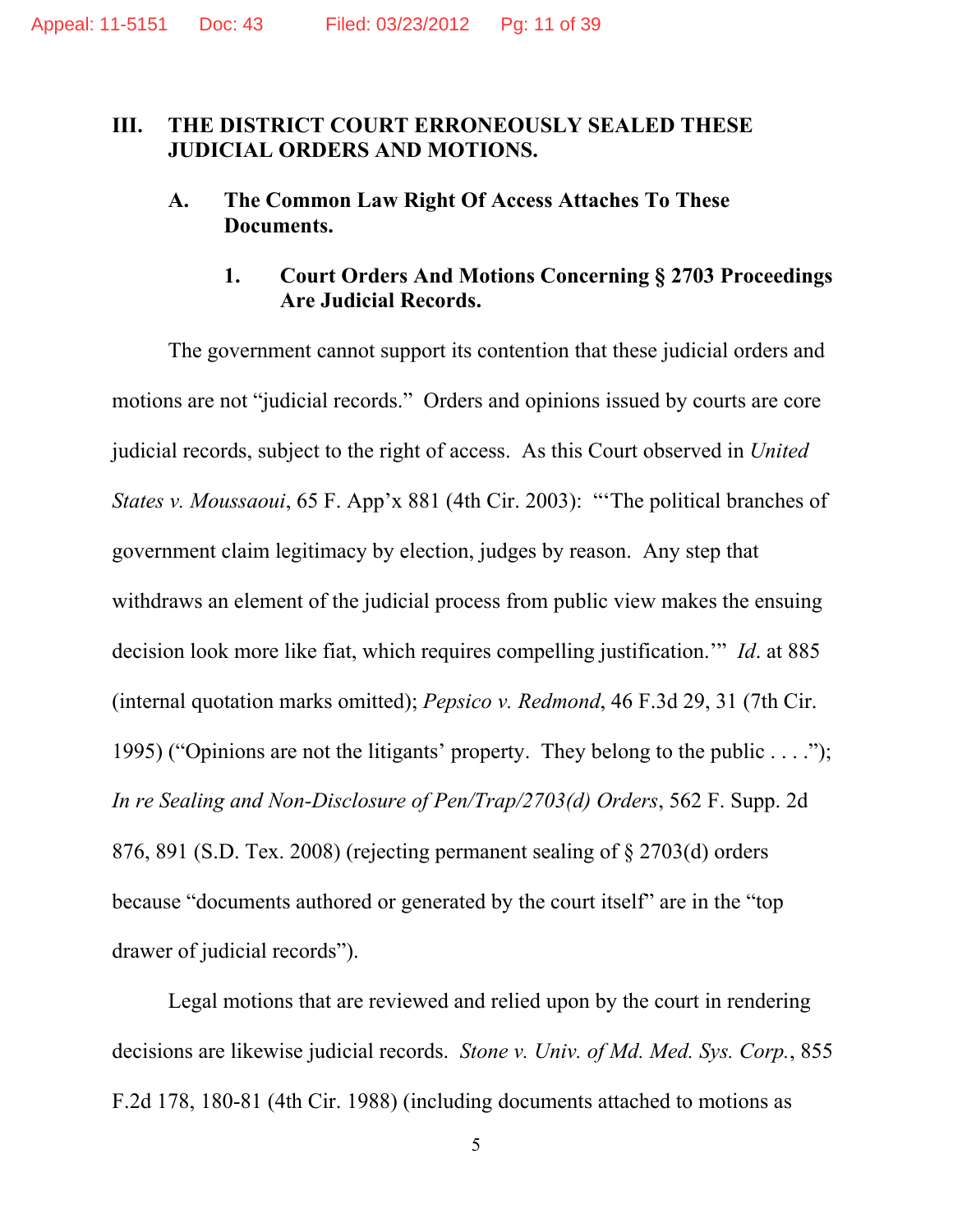### **III. THE DISTRICT COURT ERRONEOUSLY SEALED THESE JUDICIAL ORDERS AND MOTIONS.**

### **A. The Common Law Right Of Access Attaches To These Documents.**

# **1. Court Orders And Motions Concerning § 2703 Proceedings Are Judicial Records.**

The government cannot support its contention that these judicial orders and motions are not "judicial records." Orders and opinions issued by courts are core judicial records, subject to the right of access. As this Court observed in *United States v. Moussaoui*, 65 F. App'x 881 (4th Cir. 2003): "'The political branches of government claim legitimacy by election, judges by reason. Any step that withdraws an element of the judicial process from public view makes the ensuing decision look more like fiat, which requires compelling justification.'" *Id*. at 885 (internal quotation marks omitted); *Pepsico v. Redmond*, 46 F.3d 29, 31 (7th Cir. 1995) ("Opinions are not the litigants' property. They belong to the public . . . ."); *In re Sealing and Non-Disclosure of Pen/Trap/2703(d) Orders*, 562 F. Supp. 2d 876, 891 (S.D. Tex. 2008) (rejecting permanent sealing of § 2703(d) orders because "documents authored or generated by the court itself" are in the "top drawer of judicial records").

Legal motions that are reviewed and relied upon by the court in rendering decisions are likewise judicial records. *Stone v. Univ. of Md. Med. Sys. Corp.*, 855 F.2d 178, 180-81 (4th Cir. 1988) (including documents attached to motions as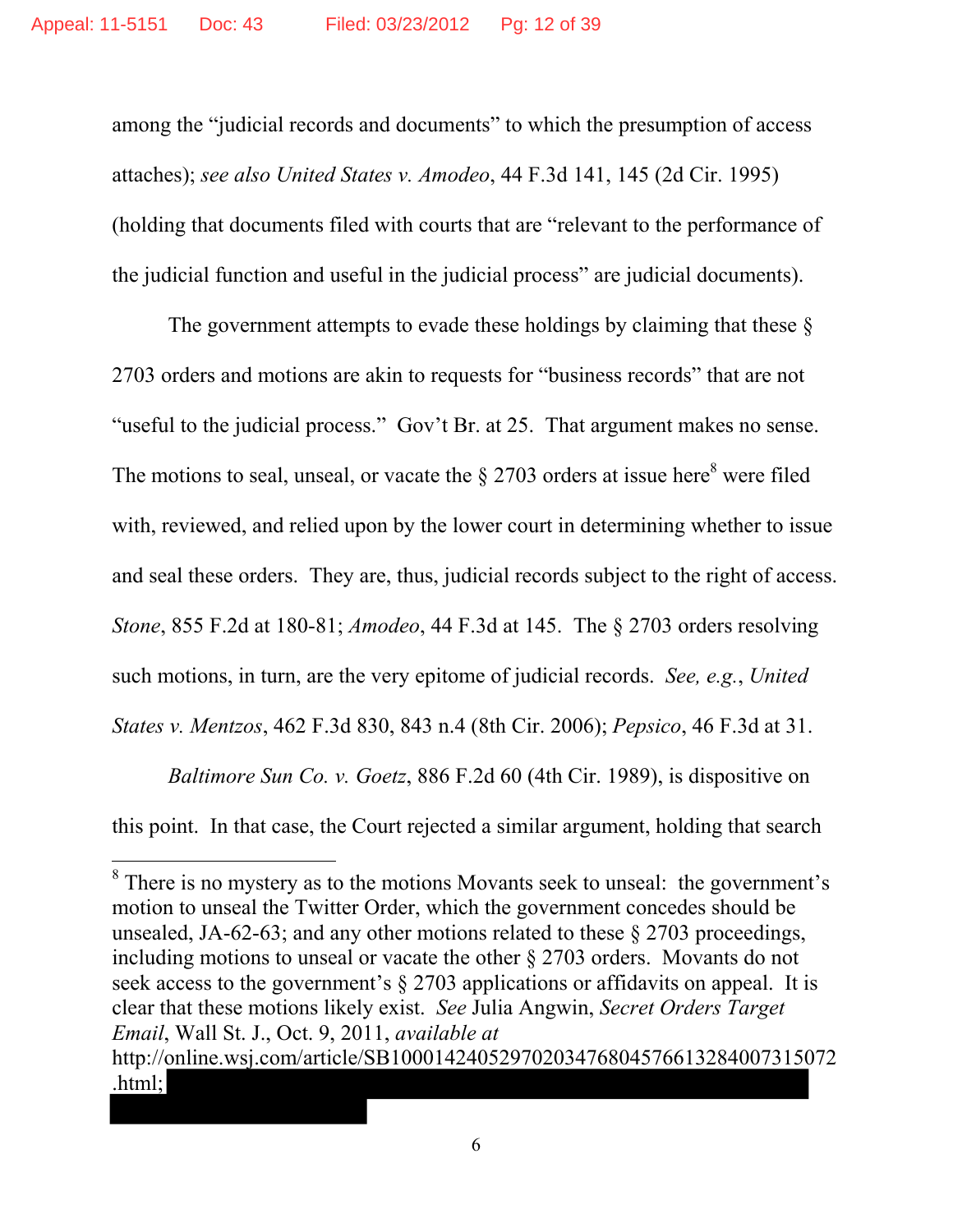among the "judicial records and documents" to which the presumption of access attaches); *see also United States v. Amodeo*, 44 F.3d 141, 145 (2d Cir. 1995) (holding that documents filed with courts that are "relevant to the performance of the judicial function and useful in the judicial process" are judicial documents).

The government attempts to evade these holdings by claiming that these  $\delta$ 2703 orders and motions are akin to requests for "business records" that are not "useful to the judicial process." Gov't Br. at 25. That argument makes no sense. The motions to seal, unseal, or vacate the  $\S 2703$  orders at issue here<sup>8</sup> were filed with, reviewed, and relied upon by the lower court in determining whether to issue and seal these orders. They are, thus, judicial records subject to the right of access. *Stone*, 855 F.2d at 180-81; *Amodeo*, 44 F.3d at 145. The § 2703 orders resolving such motions, in turn, are the very epitome of judicial records. *See, e.g.*, *United States v. Mentzos*, 462 F.3d 830, 843 n.4 (8th Cir. 2006); *Pepsico*, 46 F.3d at 31.

*Baltimore Sun Co. v. Goetz*, 886 F.2d 60 (4th Cir. 1989), is dispositive on this point. In that case, the Court rejected a similar argument, holding that search

<sup>&</sup>lt;sup>8</sup> There is no mystery as to the motions Movants seek to unseal: the government's motion to unseal the Twitter Order, which the government concedes should be unsealed, JA-62-63; and any other motions related to these § 2703 proceedings, including motions to unseal or vacate the other § 2703 orders. Movants do not seek access to the government's § 2703 applications or affidavits on appeal. It is clear that these motions likely exist. *See* Julia Angwin, *Secret Orders Target Email*, Wall St. J., Oct. 9, 2011, *available at* http://online.wsj.com/article/SB10001424052970203476804576613284007315072 .html;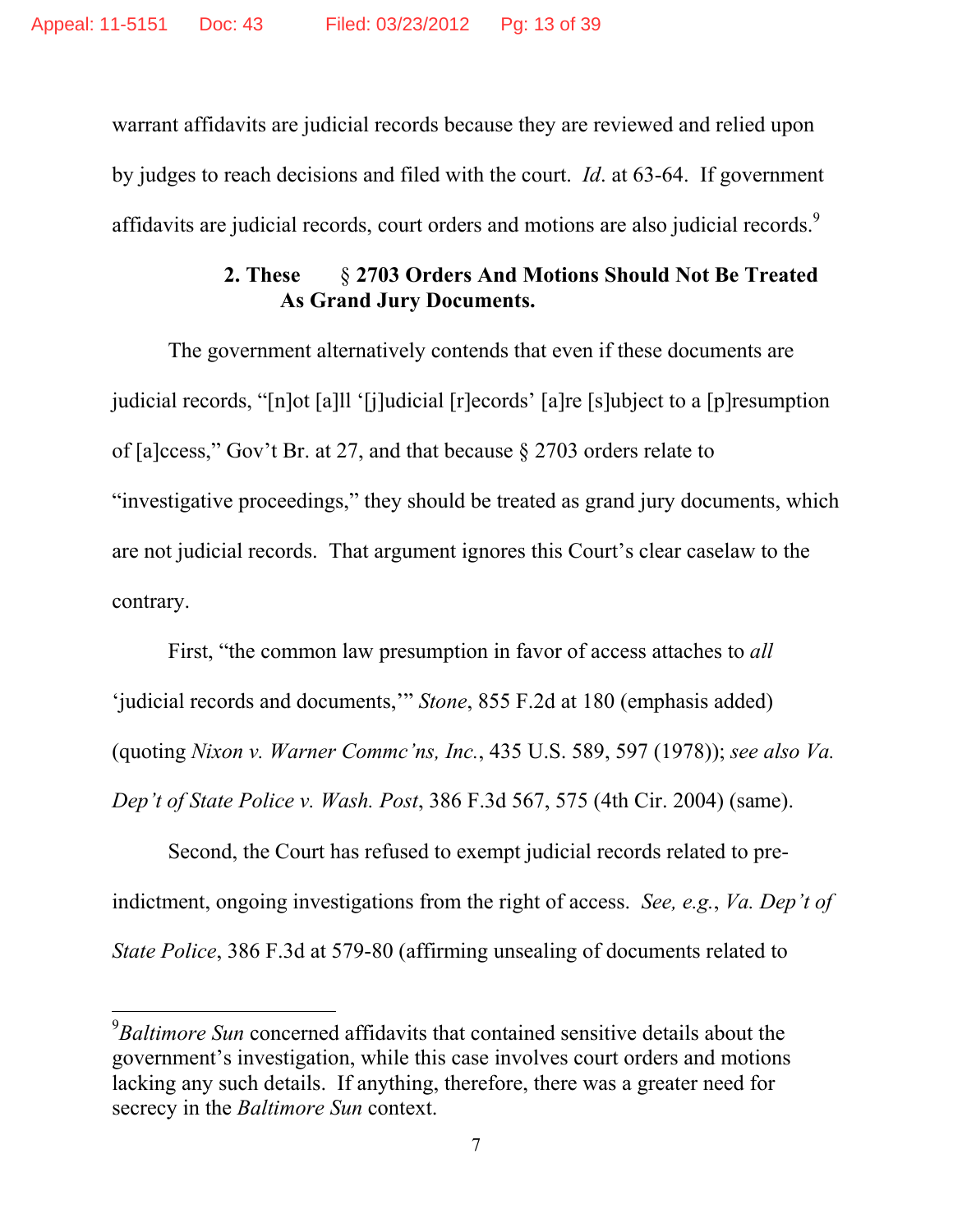warrant affidavits are judicial records because they are reviewed and relied upon by judges to reach decisions and filed with the court. *Id*. at 63-64. If government affidavits are judicial records, court orders and motions are also judicial records.<sup>9</sup>

# **2. These** § **2703 Orders And Motions Should Not Be Treated As Grand Jury Documents.**

The government alternatively contends that even if these documents are judicial records, "[n]ot [a]ll '[j]udicial [r]ecords' [a]re [s]ubject to a [p]resumption of [a]ccess," Gov't Br. at 27, and that because § 2703 orders relate to "investigative proceedings," they should be treated as grand jury documents, which are not judicial records. That argument ignores this Court's clear caselaw to the contrary.

First, "the common law presumption in favor of access attaches to *all* 'judicial records and documents,'" *Stone*, 855 F.2d at 180 (emphasis added) (quoting *Nixon v. Warner Commc'ns, Inc.*, 435 U.S. 589, 597 (1978)); *see also Va. Dep't of State Police v. Wash. Post*, 386 F.3d 567, 575 (4th Cir. 2004) (same).

Second, the Court has refused to exempt judicial records related to preindictment, ongoing investigations from the right of access. *See, e.g.*, *Va. Dep't of State Police*, 386 F.3d at 579-80 (affirming unsealing of documents related to

<sup>9</sup> *Baltimore Sun* concerned affidavits that contained sensitive details about the government's investigation, while this case involves court orders and motions lacking any such details. If anything, therefore, there was a greater need for secrecy in the *Baltimore Sun* context.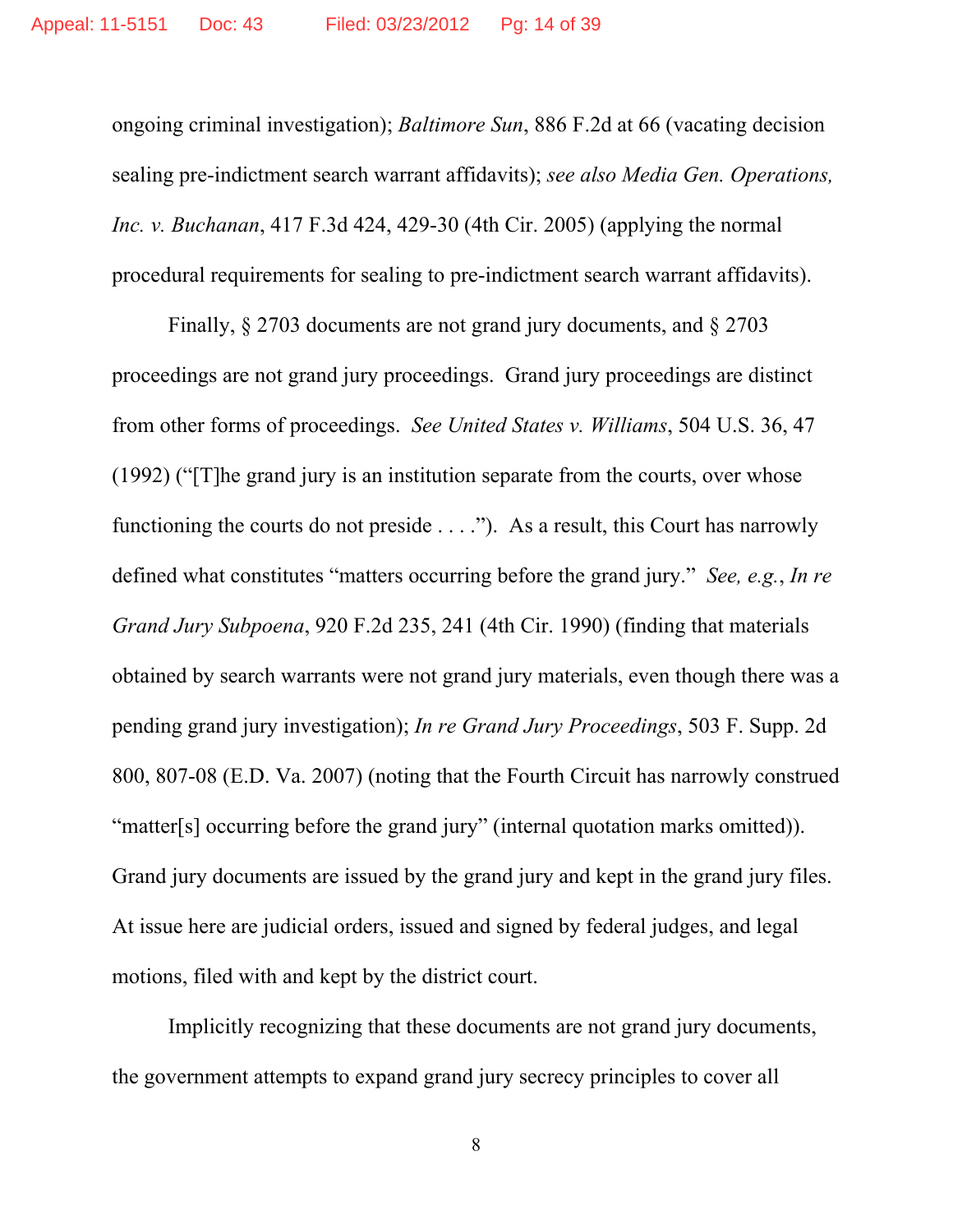ongoing criminal investigation); *Baltimore Sun*, 886 F.2d at 66 (vacating decision sealing pre-indictment search warrant affidavits); *see also Media Gen. Operations, Inc. v. Buchanan*, 417 F.3d 424, 429-30 (4th Cir. 2005) (applying the normal procedural requirements for sealing to pre-indictment search warrant affidavits).

Finally, § 2703 documents are not grand jury documents, and § 2703 proceedings are not grand jury proceedings. Grand jury proceedings are distinct from other forms of proceedings. *See United States v. Williams*, 504 U.S. 36, 47 (1992) ("[T]he grand jury is an institution separate from the courts, over whose functioning the courts do not preside . . . ."). As a result, this Court has narrowly defined what constitutes "matters occurring before the grand jury." *See, e.g.*, *In re Grand Jury Subpoena*, 920 F.2d 235, 241 (4th Cir. 1990) (finding that materials obtained by search warrants were not grand jury materials, even though there was a pending grand jury investigation); *In re Grand Jury Proceedings*, 503 F. Supp. 2d 800, 807-08 (E.D. Va. 2007) (noting that the Fourth Circuit has narrowly construed "matter[s] occurring before the grand jury" (internal quotation marks omitted)). Grand jury documents are issued by the grand jury and kept in the grand jury files. At issue here are judicial orders, issued and signed by federal judges, and legal motions, filed with and kept by the district court.

Implicitly recognizing that these documents are not grand jury documents, the government attempts to expand grand jury secrecy principles to cover all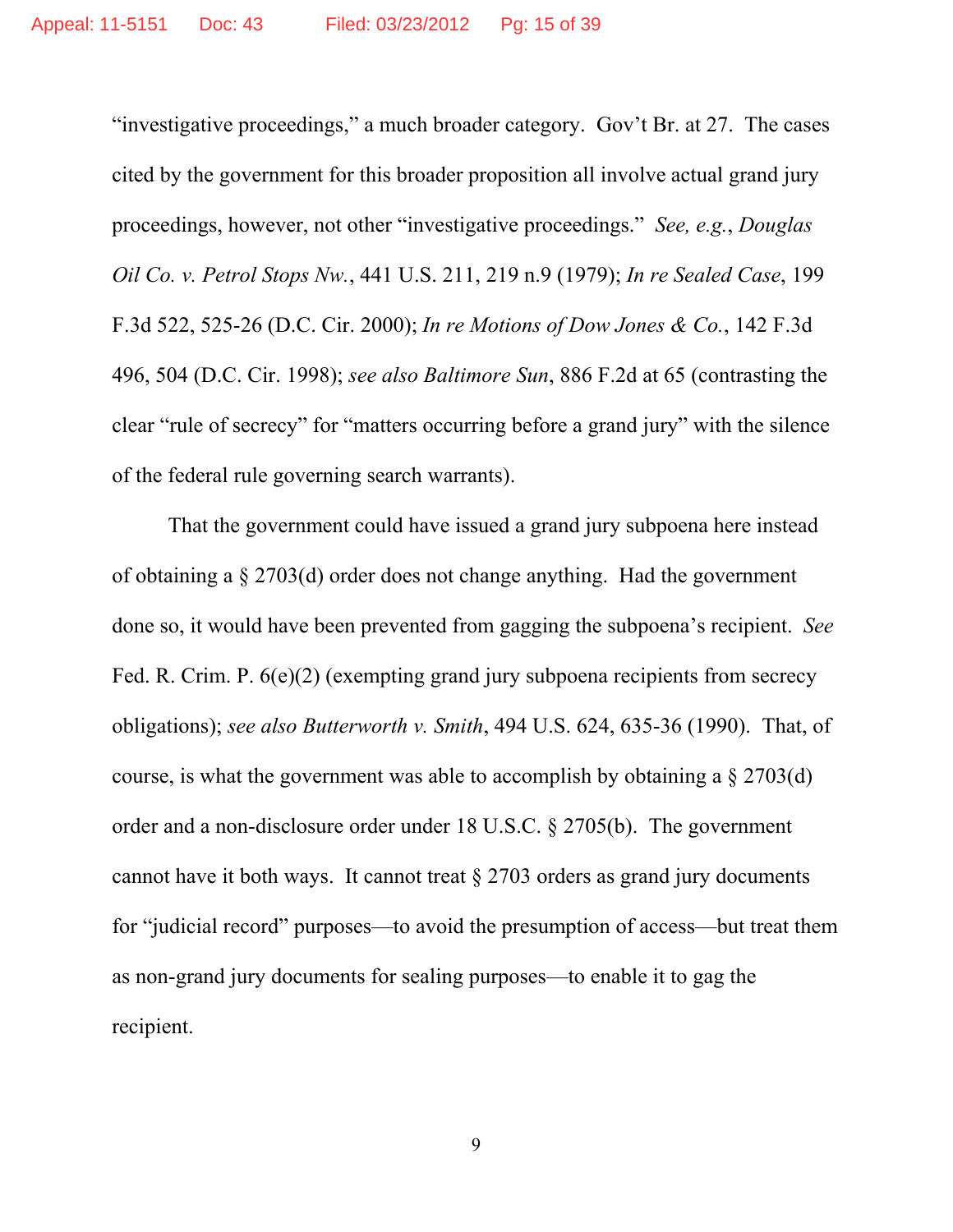"investigative proceedings," a much broader category. Gov't Br. at 27. The cases cited by the government for this broader proposition all involve actual grand jury proceedings, however, not other "investigative proceedings." *See, e.g.*, *Douglas Oil Co. v. Petrol Stops Nw.*, 441 U.S. 211, 219 n.9 (1979); *In re Sealed Case*, 199 F.3d 522, 525-26 (D.C. Cir. 2000); *In re Motions of Dow Jones & Co.*, 142 F.3d 496, 504 (D.C. Cir. 1998); *see also Baltimore Sun*, 886 F.2d at 65 (contrasting the clear "rule of secrecy" for "matters occurring before a grand jury" with the silence of the federal rule governing search warrants).

That the government could have issued a grand jury subpoena here instead of obtaining a § 2703(d) order does not change anything. Had the government done so, it would have been prevented from gagging the subpoena's recipient. *See* Fed. R. Crim. P. 6(e)(2) (exempting grand jury subpoena recipients from secrecy obligations); *see also Butterworth v. Smith*, 494 U.S. 624, 635-36 (1990). That, of course, is what the government was able to accomplish by obtaining a  $\S 2703(d)$ order and a non-disclosure order under 18 U.S.C. § 2705(b). The government cannot have it both ways. It cannot treat § 2703 orders as grand jury documents for "judicial record" purposes—to avoid the presumption of access—but treat them as non-grand jury documents for sealing purposes—to enable it to gag the recipient.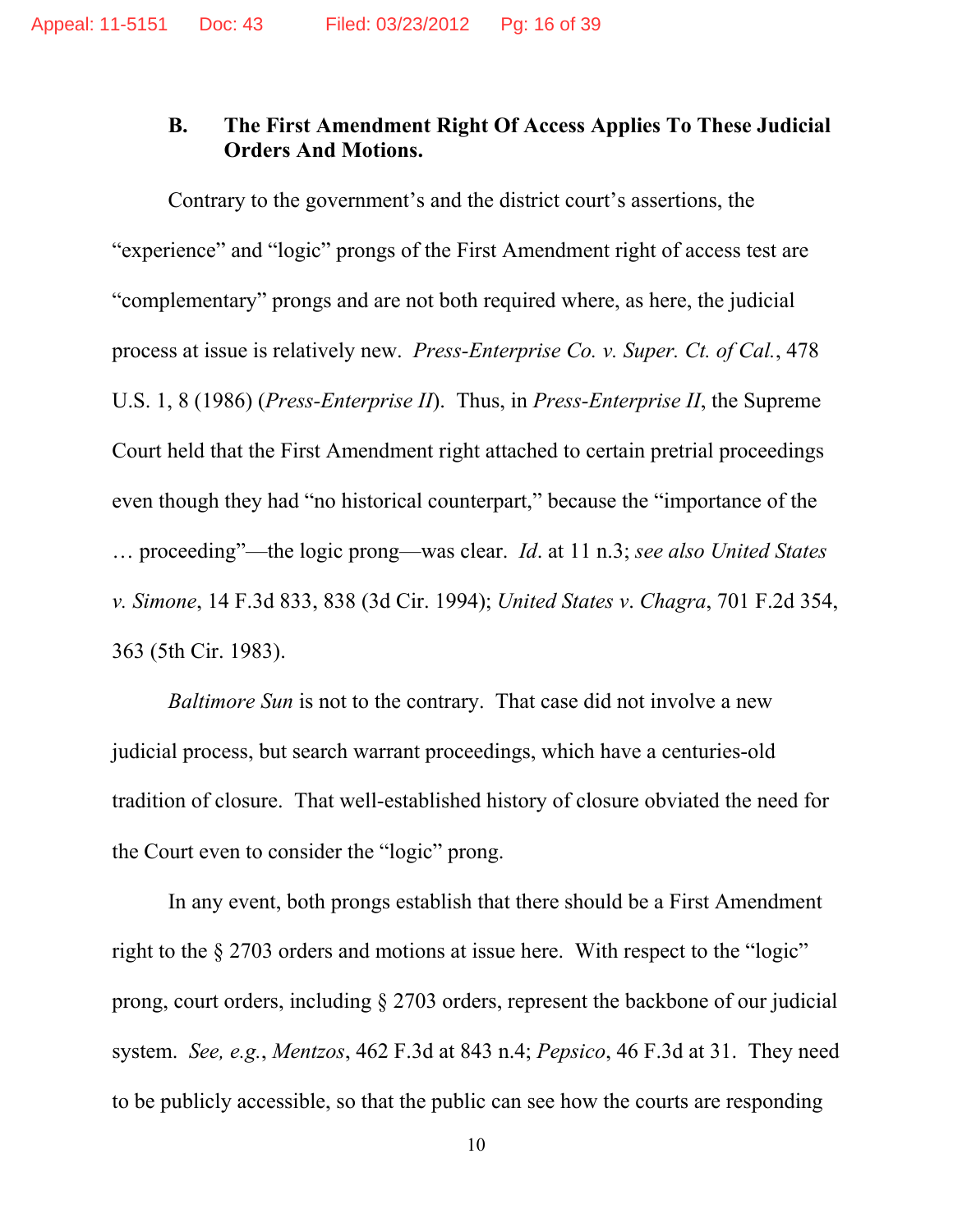### **B. The First Amendment Right Of Access Applies To These Judicial Orders And Motions.**

Contrary to the government's and the district court's assertions, the "experience" and "logic" prongs of the First Amendment right of access test are "complementary" prongs and are not both required where, as here, the judicial process at issue is relatively new. *Press-Enterprise Co. v. Super. Ct. of Cal.*, 478 U.S. 1, 8 (1986) (*Press-Enterprise II*). Thus, in *Press-Enterprise II*, the Supreme Court held that the First Amendment right attached to certain pretrial proceedings even though they had "no historical counterpart," because the "importance of the … proceeding"—the logic prong—was clear. *Id*. at 11 n.3; *see also United States v. Simone*, 14 F.3d 833, 838 (3d Cir. 1994); *United States v*. *Chagra*, 701 F.2d 354, 363 (5th Cir. 1983).

*Baltimore Sun* is not to the contrary. That case did not involve a new judicial process, but search warrant proceedings, which have a centuries-old tradition of closure. That well-established history of closure obviated the need for the Court even to consider the "logic" prong.

In any event, both prongs establish that there should be a First Amendment right to the § 2703 orders and motions at issue here. With respect to the "logic" prong, court orders, including § 2703 orders, represent the backbone of our judicial system. *See, e.g.*, *Mentzos*, 462 F.3d at 843 n.4; *Pepsico*, 46 F.3d at 31. They need to be publicly accessible, so that the public can see how the courts are responding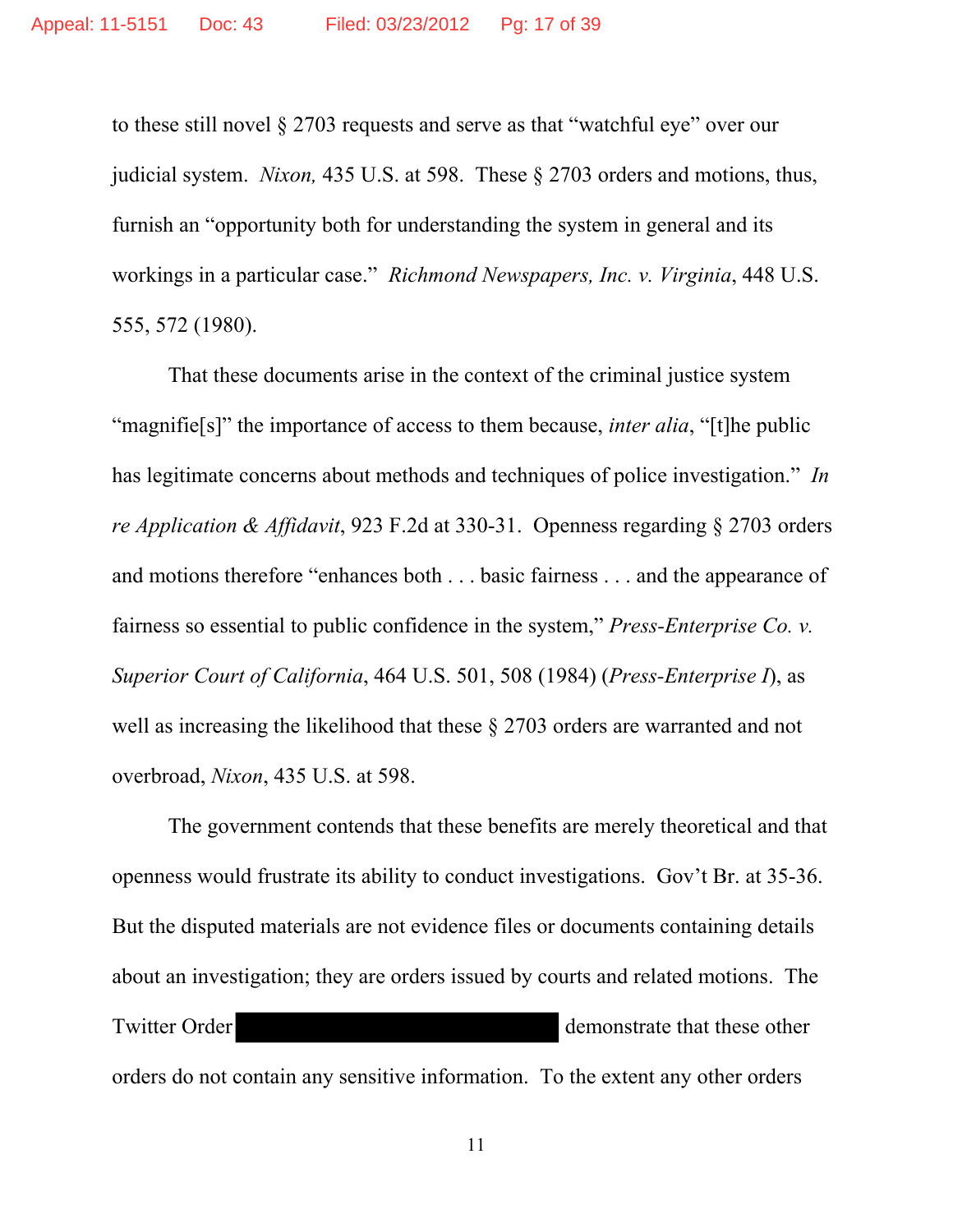to these still novel § 2703 requests and serve as that "watchful eye" over our judicial system. *Nixon,* 435 U.S. at 598. These § 2703 orders and motions, thus, furnish an "opportunity both for understanding the system in general and its workings in a particular case." *Richmond Newspapers, Inc. v. Virginia*, 448 U.S. 555, 572 (1980).

That these documents arise in the context of the criminal justice system "magnifie[s]" the importance of access to them because, *inter alia*, "[t]he public has legitimate concerns about methods and techniques of police investigation." *In re Application & Affidavit*, 923 F.2d at 330-31. Openness regarding § 2703 orders and motions therefore "enhances both . . . basic fairness . . . and the appearance of fairness so essential to public confidence in the system," *Press-Enterprise Co. v. Superior Court of California*, 464 U.S. 501, 508 (1984) (*Press-Enterprise I*), as well as increasing the likelihood that these § 2703 orders are warranted and not overbroad, *Nixon*, 435 U.S. at 598.

The government contends that these benefits are merely theoretical and that openness would frustrate its ability to conduct investigations. Gov't Br. at 35-36. But the disputed materials are not evidence files or documents containing details about an investigation; they are orders issued by courts and related motions. The Twitter Order demonstrate that these other orders do not contain any sensitive information. To the extent any other orders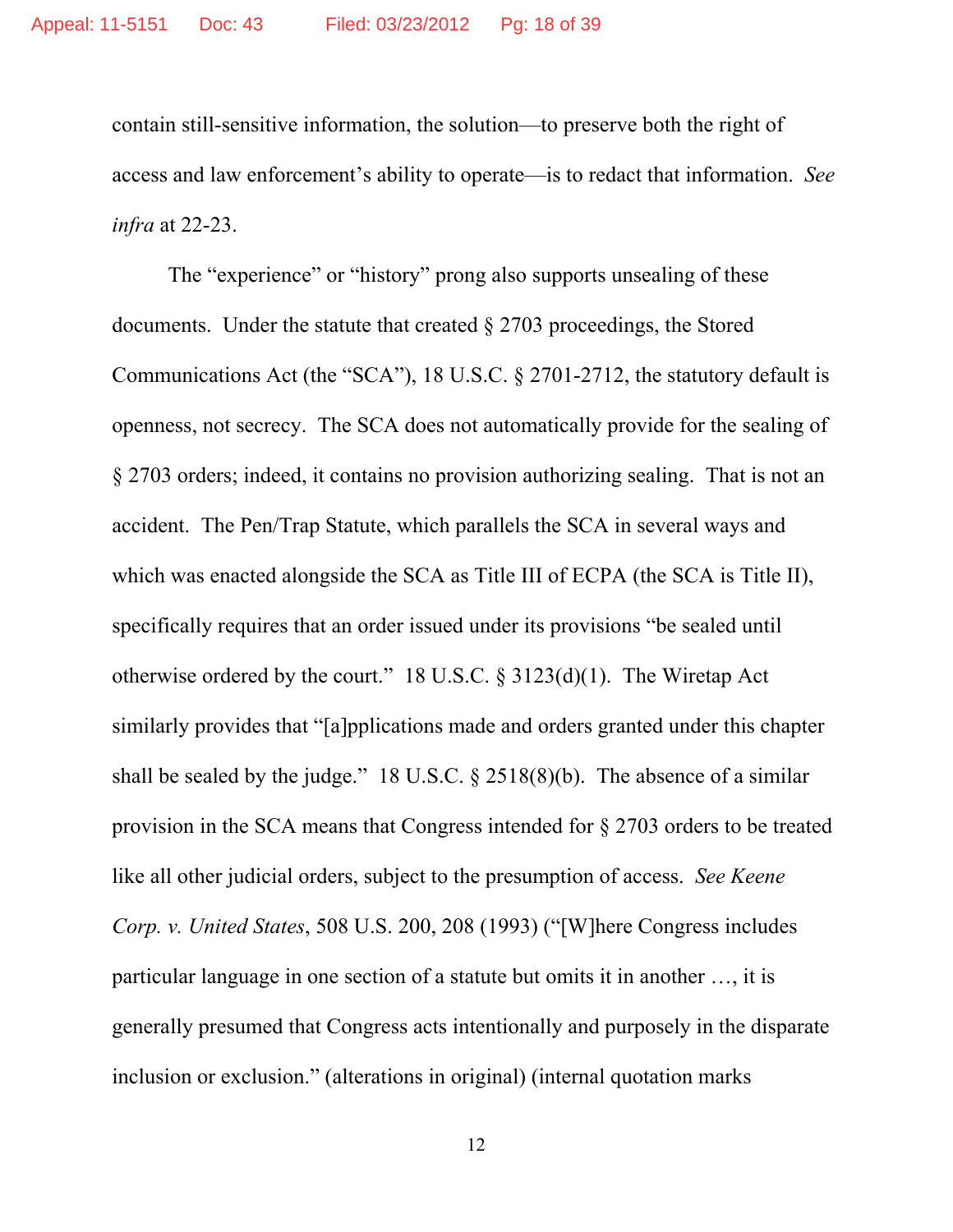contain still-sensitive information, the solution—to preserve both the right of access and law enforcement's ability to operate—is to redact that information. *See infra* at 22-23.

The "experience" or "history" prong also supports unsealing of these documents. Under the statute that created § 2703 proceedings, the Stored Communications Act (the "SCA"), 18 U.S.C. § 2701-2712, the statutory default is openness, not secrecy. The SCA does not automatically provide for the sealing of § 2703 orders; indeed, it contains no provision authorizing sealing. That is not an accident. The Pen/Trap Statute, which parallels the SCA in several ways and which was enacted alongside the SCA as Title III of ECPA (the SCA is Title II), specifically requires that an order issued under its provisions "be sealed until otherwise ordered by the court." 18 U.S.C. § 3123(d)(1). The Wiretap Act similarly provides that "[a]pplications made and orders granted under this chapter shall be sealed by the judge." 18 U.S.C.  $\S$  2518(8)(b). The absence of a similar provision in the SCA means that Congress intended for § 2703 orders to be treated like all other judicial orders, subject to the presumption of access. *See Keene Corp. v. United States*, 508 U.S. 200, 208 (1993) ("[W]here Congress includes particular language in one section of a statute but omits it in another …, it is generally presumed that Congress acts intentionally and purposely in the disparate inclusion or exclusion." (alterations in original) (internal quotation marks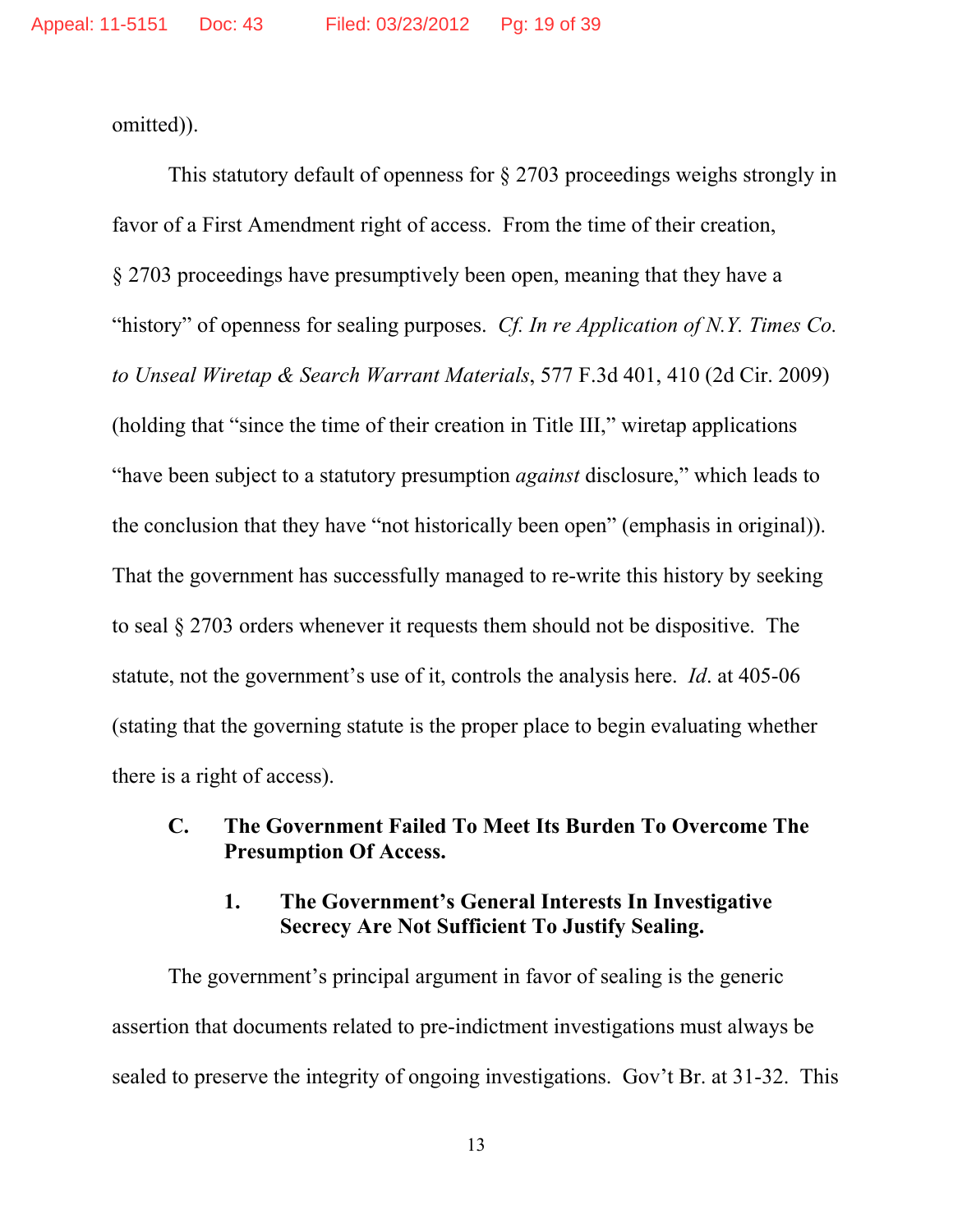omitted)).

This statutory default of openness for § 2703 proceedings weighs strongly in favor of a First Amendment right of access. From the time of their creation, § 2703 proceedings have presumptively been open, meaning that they have a "history" of openness for sealing purposes. *Cf. In re Application of N.Y. Times Co. to Unseal Wiretap & Search Warrant Materials*, 577 F.3d 401, 410 (2d Cir. 2009) (holding that "since the time of their creation in Title III," wiretap applications "have been subject to a statutory presumption *against* disclosure," which leads to the conclusion that they have "not historically been open" (emphasis in original)). That the government has successfully managed to re-write this history by seeking to seal § 2703 orders whenever it requests them should not be dispositive. The statute, not the government's use of it, controls the analysis here. *Id*. at 405-06 (stating that the governing statute is the proper place to begin evaluating whether there is a right of access).

### **C. The Government Failed To Meet Its Burden To Overcome The Presumption Of Access.**

## **1. The Government's General Interests In Investigative Secrecy Are Not Sufficient To Justify Sealing.**

The government's principal argument in favor of sealing is the generic assertion that documents related to pre-indictment investigations must always be sealed to preserve the integrity of ongoing investigations. Gov't Br. at 31-32. This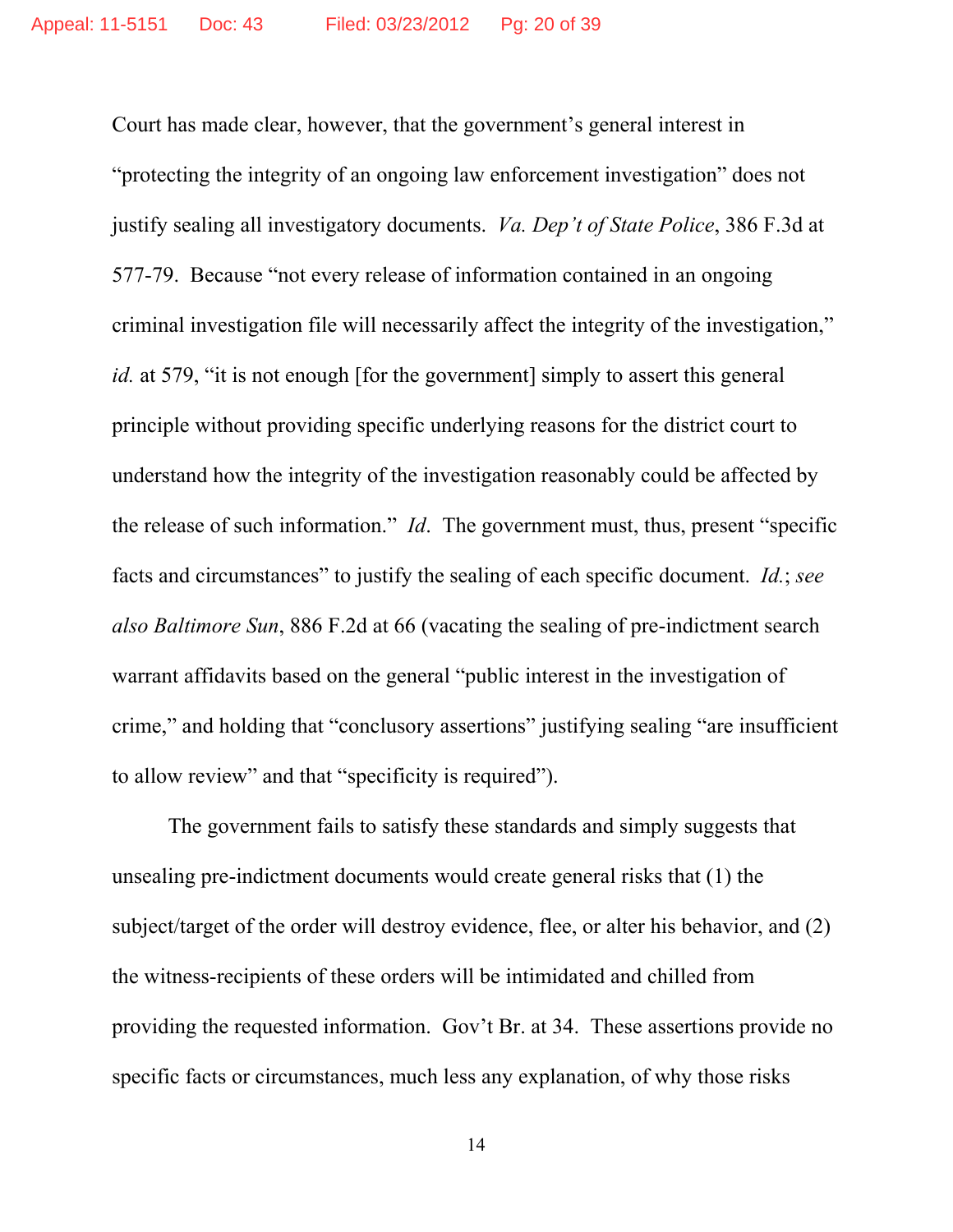Court has made clear, however, that the government's general interest in "protecting the integrity of an ongoing law enforcement investigation" does not justify sealing all investigatory documents. *Va. Dep't of State Police*, 386 F.3d at 577-79. Because "not every release of information contained in an ongoing criminal investigation file will necessarily affect the integrity of the investigation," *id.* at 579, "it is not enough [for the government] simply to assert this general principle without providing specific underlying reasons for the district court to understand how the integrity of the investigation reasonably could be affected by the release of such information." *Id*. The government must, thus, present "specific facts and circumstances" to justify the sealing of each specific document. *Id.*; *see also Baltimore Sun*, 886 F.2d at 66 (vacating the sealing of pre-indictment search warrant affidavits based on the general "public interest in the investigation of crime," and holding that "conclusory assertions" justifying sealing "are insufficient to allow review" and that "specificity is required").

 The government fails to satisfy these standards and simply suggests that unsealing pre-indictment documents would create general risks that (1) the subject/target of the order will destroy evidence, flee, or alter his behavior, and (2) the witness-recipients of these orders will be intimidated and chilled from providing the requested information. Gov't Br. at 34. These assertions provide no specific facts or circumstances, much less any explanation, of why those risks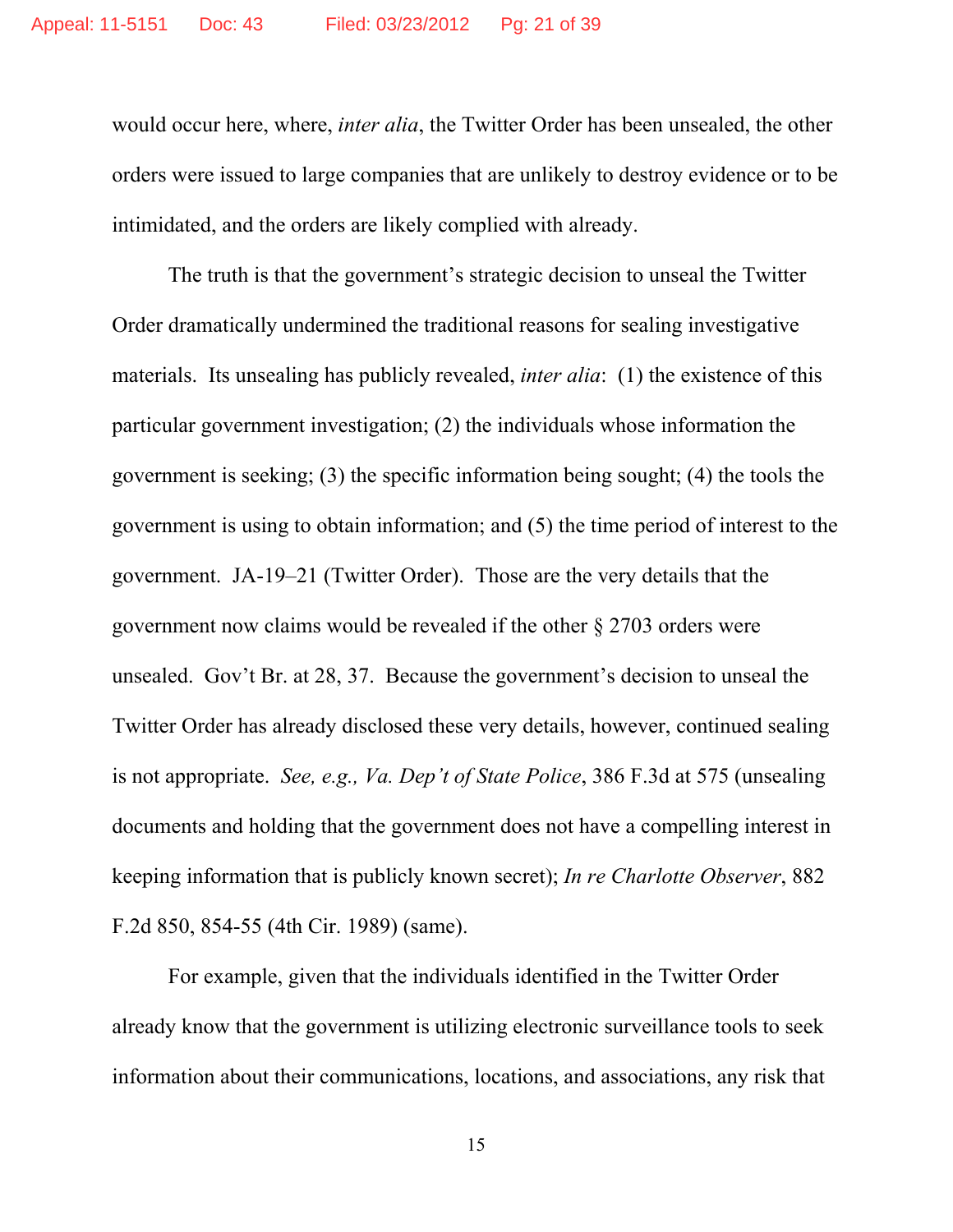would occur here, where, *inter alia*, the Twitter Order has been unsealed, the other orders were issued to large companies that are unlikely to destroy evidence or to be intimidated, and the orders are likely complied with already.

The truth is that the government's strategic decision to unseal the Twitter Order dramatically undermined the traditional reasons for sealing investigative materials. Its unsealing has publicly revealed, *inter alia*: (1) the existence of this particular government investigation; (2) the individuals whose information the government is seeking; (3) the specific information being sought; (4) the tools the government is using to obtain information; and (5) the time period of interest to the government. JA-19–21 (Twitter Order). Those are the very details that the government now claims would be revealed if the other § 2703 orders were unsealed. Gov't Br. at 28, 37. Because the government's decision to unseal the Twitter Order has already disclosed these very details, however, continued sealing is not appropriate. *See, e.g., Va. Dep't of State Police*, 386 F.3d at 575 (unsealing documents and holding that the government does not have a compelling interest in keeping information that is publicly known secret); *In re Charlotte Observer*, 882 F.2d 850, 854-55 (4th Cir. 1989) (same).

For example, given that the individuals identified in the Twitter Order already know that the government is utilizing electronic surveillance tools to seek information about their communications, locations, and associations, any risk that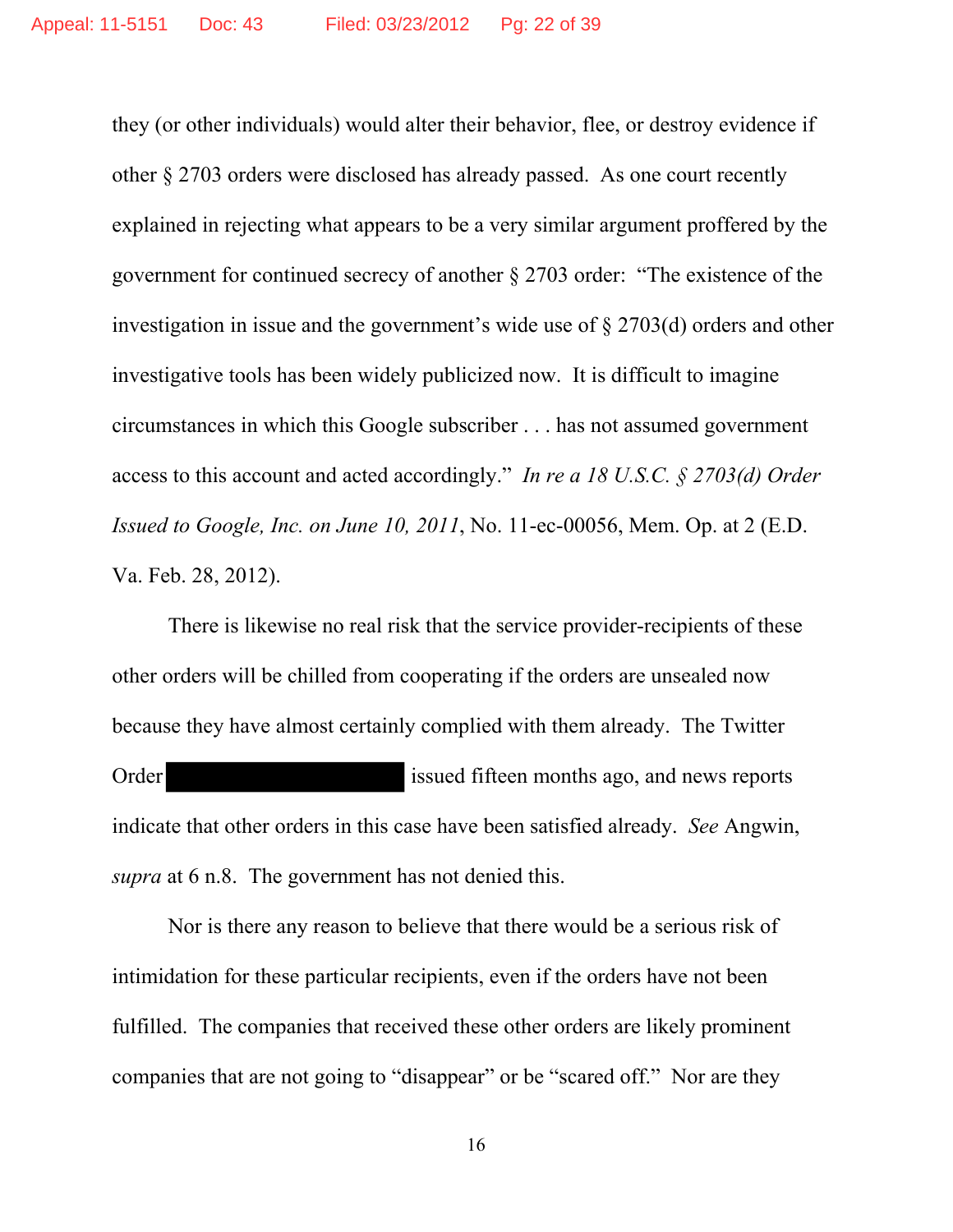they (or other individuals) would alter their behavior, flee, or destroy evidence if other § 2703 orders were disclosed has already passed. As one court recently explained in rejecting what appears to be a very similar argument proffered by the government for continued secrecy of another § 2703 order: "The existence of the investigation in issue and the government's wide use of § 2703(d) orders and other investigative tools has been widely publicized now. It is difficult to imagine circumstances in which this Google subscriber . . . has not assumed government access to this account and acted accordingly." *In re a 18 U.S.C. § 2703(d) Order Issued to Google, Inc. on June 10, 2011*, No. 11-ec-00056, Mem. Op. at 2 (E.D. Va. Feb. 28, 2012).

 There is likewise no real risk that the service provider-recipients of these other orders will be chilled from cooperating if the orders are unsealed now because they have almost certainly complied with them already. The Twitter Order issued fifteen months ago, and news reports indicate that other orders in this case have been satisfied already. *See* Angwin, *supra* at 6 n.8. The government has not denied this.

Nor is there any reason to believe that there would be a serious risk of intimidation for these particular recipients, even if the orders have not been fulfilled. The companies that received these other orders are likely prominent companies that are not going to "disappear" or be "scared off." Nor are they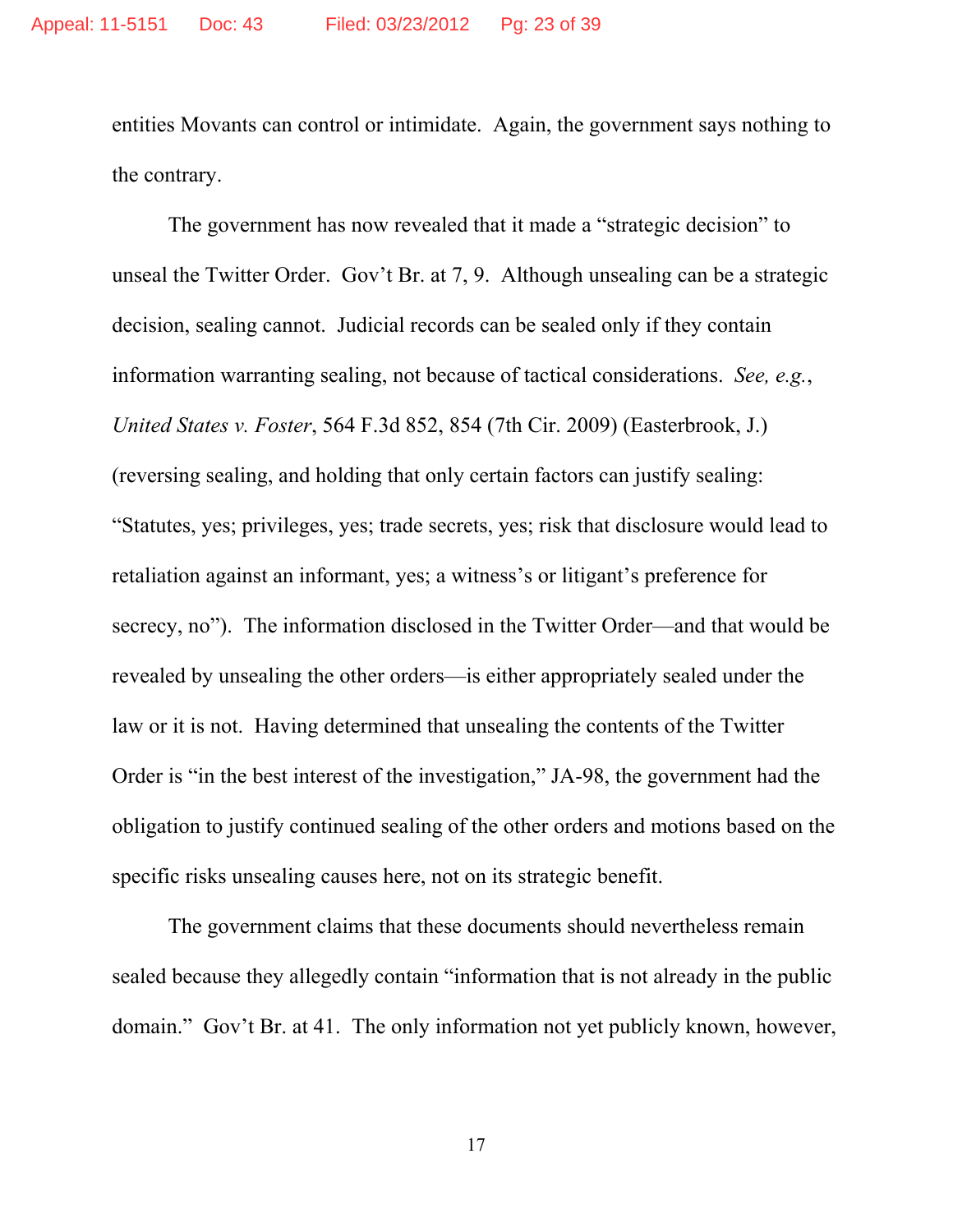entities Movants can control or intimidate. Again, the government says nothing to the contrary.

 The government has now revealed that it made a "strategic decision" to unseal the Twitter Order. Gov't Br. at 7, 9. Although unsealing can be a strategic decision, sealing cannot. Judicial records can be sealed only if they contain information warranting sealing, not because of tactical considerations. *See, e.g.*, *United States v. Foster*, 564 F.3d 852, 854 (7th Cir. 2009) (Easterbrook, J.) (reversing sealing, and holding that only certain factors can justify sealing: "Statutes, yes; privileges, yes; trade secrets, yes; risk that disclosure would lead to retaliation against an informant, yes; a witness's or litigant's preference for secrecy, no"). The information disclosed in the Twitter Order—and that would be revealed by unsealing the other orders—is either appropriately sealed under the law or it is not. Having determined that unsealing the contents of the Twitter Order is "in the best interest of the investigation," JA-98, the government had the obligation to justify continued sealing of the other orders and motions based on the specific risks unsealing causes here, not on its strategic benefit.

The government claims that these documents should nevertheless remain sealed because they allegedly contain "information that is not already in the public domain." Gov't Br. at 41. The only information not yet publicly known, however,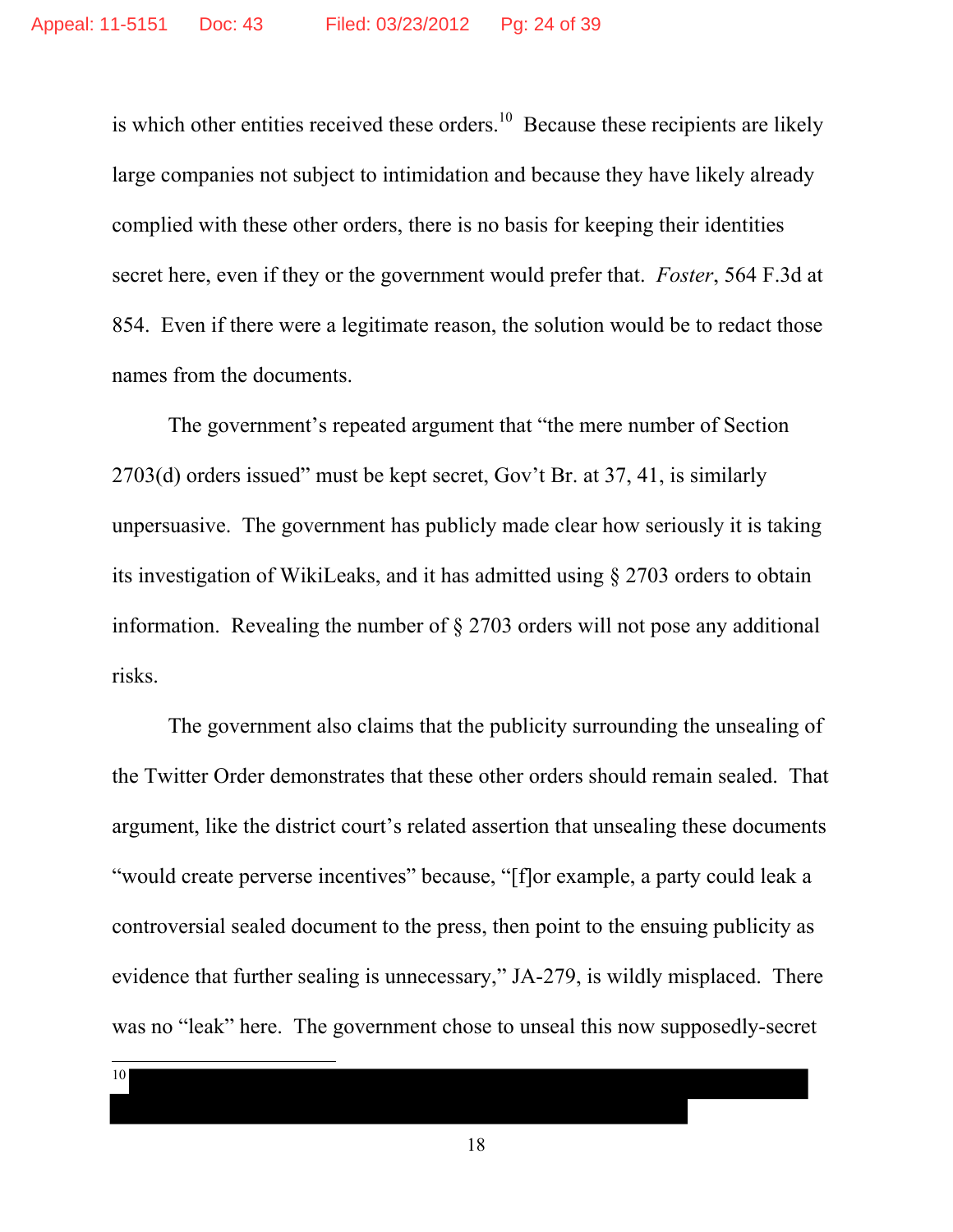is which other entities received these orders.<sup>10</sup> Because these recipients are likely large companies not subject to intimidation and because they have likely already complied with these other orders, there is no basis for keeping their identities secret here, even if they or the government would prefer that. *Foster*, 564 F.3d at 854. Even if there were a legitimate reason, the solution would be to redact those names from the documents.

The government's repeated argument that "the mere number of Section 2703(d) orders issued" must be kept secret, Gov't Br. at 37, 41, is similarly unpersuasive. The government has publicly made clear how seriously it is taking its investigation of WikiLeaks, and it has admitted using § 2703 orders to obtain information. Revealing the number of § 2703 orders will not pose any additional risks.

The government also claims that the publicity surrounding the unsealing of the Twitter Order demonstrates that these other orders should remain sealed. That argument, like the district court's related assertion that unsealing these documents "would create perverse incentives" because, "[f]or example, a party could leak a controversial sealed document to the press, then point to the ensuing publicity as evidence that further sealing is unnecessary," JA-279, is wildly misplaced. There was no "leak" here. The government chose to unseal this now supposedly-secret

10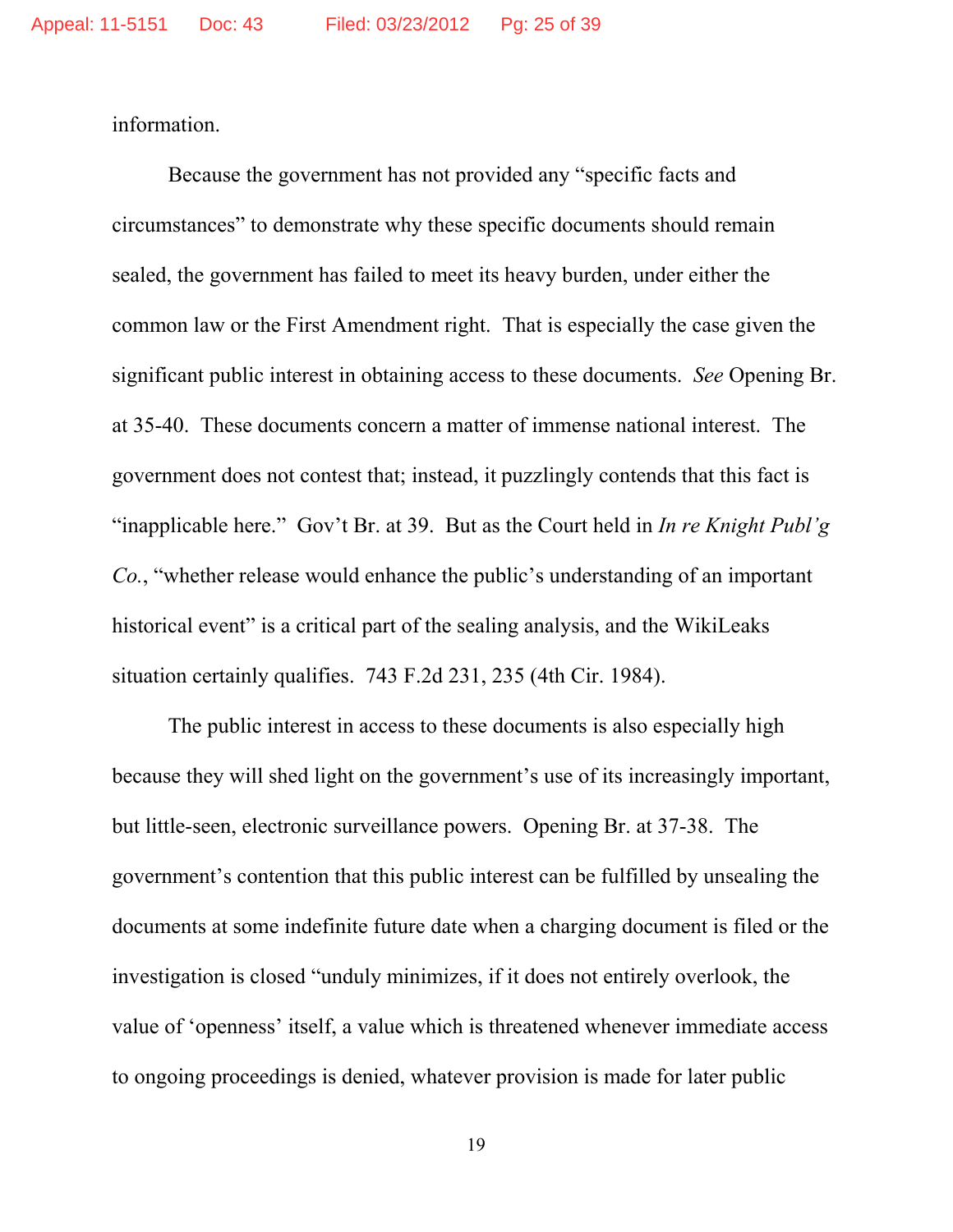information.

Because the government has not provided any "specific facts and circumstances" to demonstrate why these specific documents should remain sealed, the government has failed to meet its heavy burden, under either the common law or the First Amendment right. That is especially the case given the significant public interest in obtaining access to these documents. *See* Opening Br. at 35-40. These documents concern a matter of immense national interest. The government does not contest that; instead, it puzzlingly contends that this fact is "inapplicable here." Gov't Br. at 39. But as the Court held in *In re Knight Publ'g Co.*, "whether release would enhance the public's understanding of an important historical event" is a critical part of the sealing analysis, and the WikiLeaks situation certainly qualifies. 743 F.2d 231, 235 (4th Cir. 1984).

The public interest in access to these documents is also especially high because they will shed light on the government's use of its increasingly important, but little-seen, electronic surveillance powers. Opening Br. at 37-38. The government's contention that this public interest can be fulfilled by unsealing the documents at some indefinite future date when a charging document is filed or the investigation is closed "unduly minimizes, if it does not entirely overlook, the value of 'openness' itself, a value which is threatened whenever immediate access to ongoing proceedings is denied, whatever provision is made for later public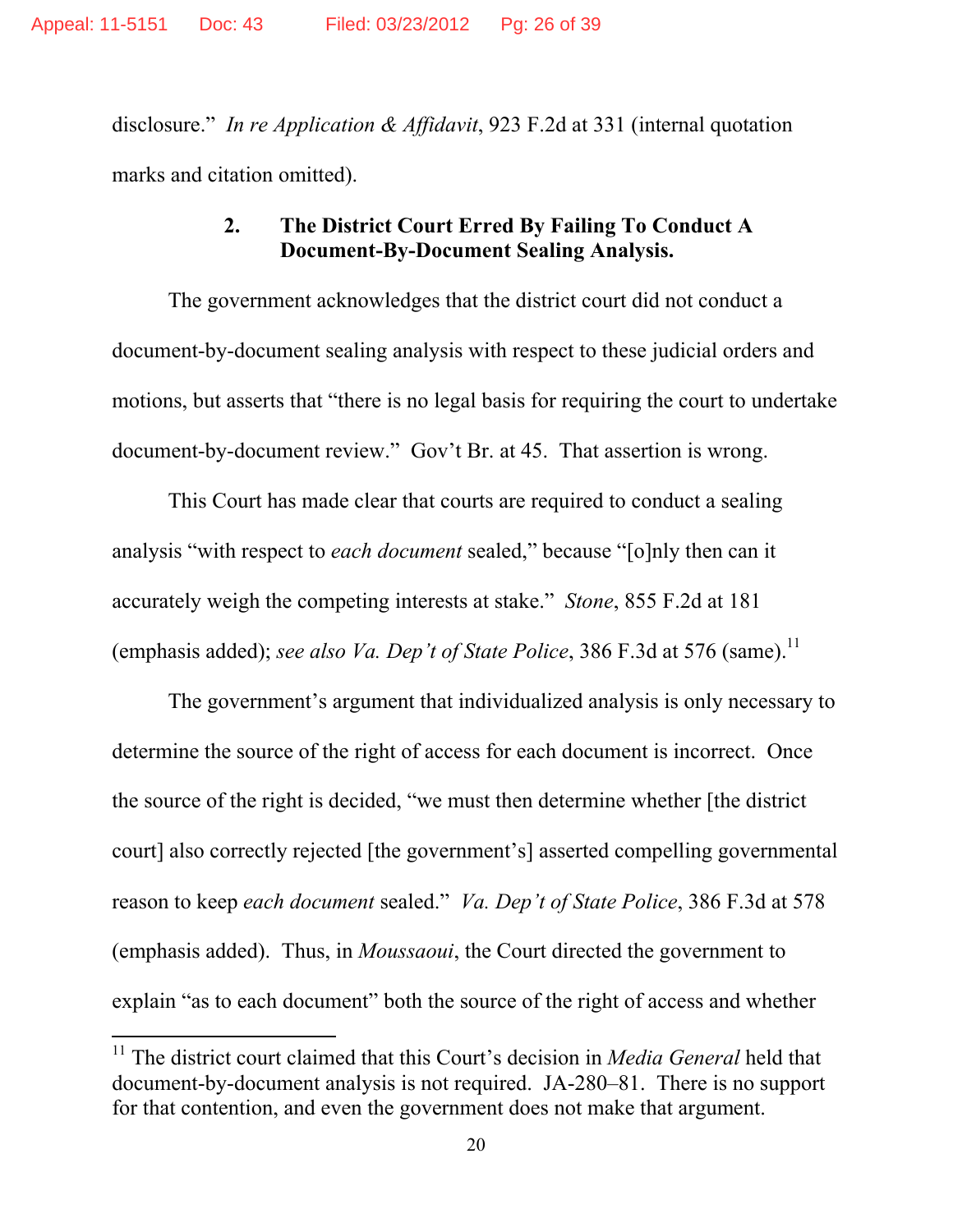disclosure." *In re Application & Affidavit*, 923 F.2d at 331 (internal quotation marks and citation omitted).

## **2. The District Court Erred By Failing To Conduct A Document-By-Document Sealing Analysis.**

The government acknowledges that the district court did not conduct a document-by-document sealing analysis with respect to these judicial orders and motions, but asserts that "there is no legal basis for requiring the court to undertake document-by-document review." Gov't Br. at 45. That assertion is wrong.

This Court has made clear that courts are required to conduct a sealing analysis "with respect to *each document* sealed," because "[o]nly then can it accurately weigh the competing interests at stake." *Stone*, 855 F.2d at 181 (emphasis added); see also Va. Dep't of State Police, 386 F.3d at 576 (same).<sup>11</sup>

The government's argument that individualized analysis is only necessary to determine the source of the right of access for each document is incorrect. Once the source of the right is decided, "we must then determine whether [the district court] also correctly rejected [the government's] asserted compelling governmental reason to keep *each document* sealed." *Va. Dep't of State Police*, 386 F.3d at 578 (emphasis added). Thus, in *Moussaoui*, the Court directed the government to explain "as to each document" both the source of the right of access and whether

<sup>&</sup>lt;sup>11</sup> The district court claimed that this Court's decision in *Media General* held that document-by-document analysis is not required. JA-280–81. There is no support for that contention, and even the government does not make that argument.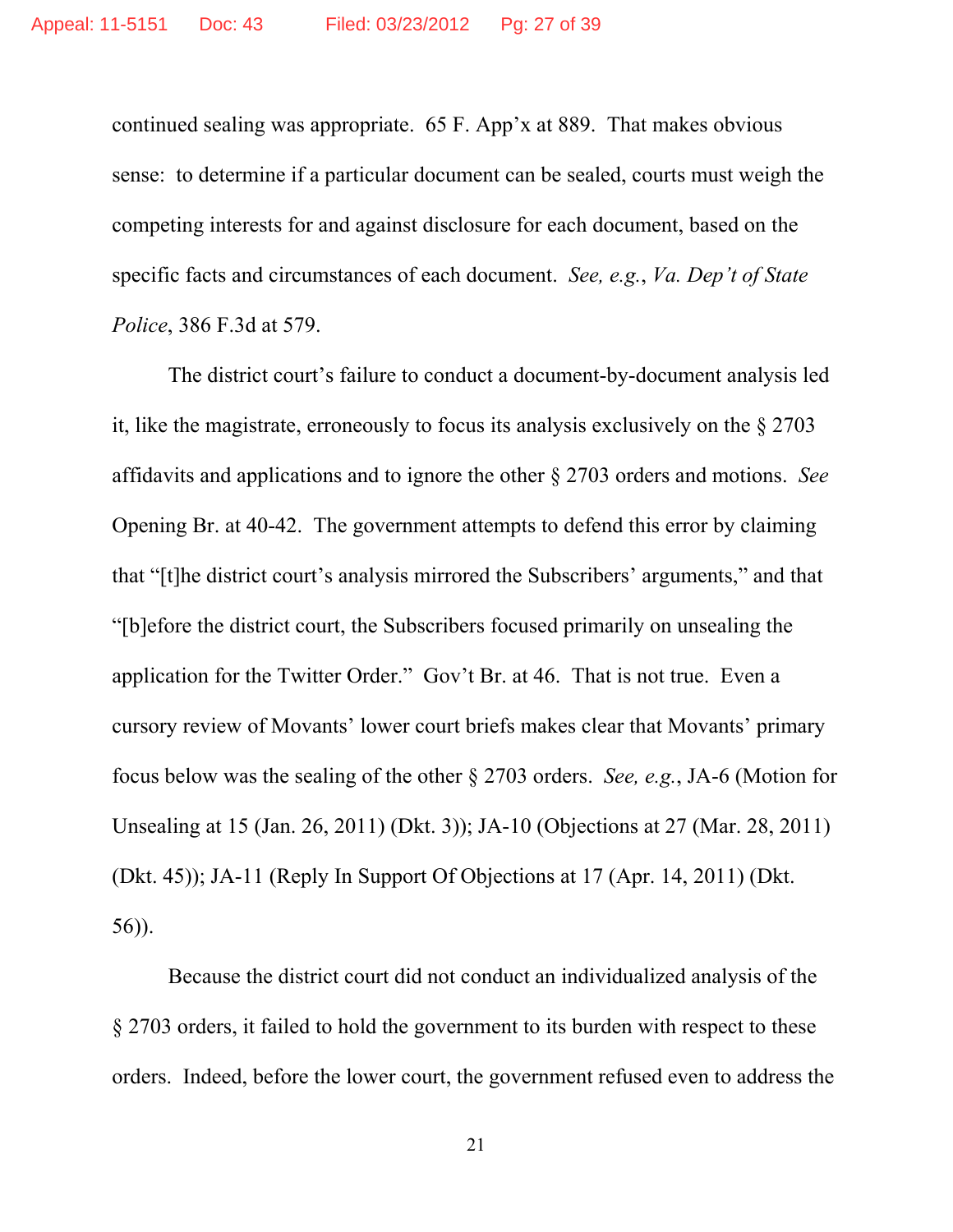continued sealing was appropriate. 65 F. App'x at 889. That makes obvious sense: to determine if a particular document can be sealed, courts must weigh the competing interests for and against disclosure for each document, based on the specific facts and circumstances of each document. *See, e.g.*, *Va. Dep't of State Police*, 386 F.3d at 579.

The district court's failure to conduct a document-by-document analysis led it, like the magistrate, erroneously to focus its analysis exclusively on the § 2703 affidavits and applications and to ignore the other § 2703 orders and motions. *See* Opening Br. at 40-42. The government attempts to defend this error by claiming that "[t]he district court's analysis mirrored the Subscribers' arguments," and that "[b]efore the district court, the Subscribers focused primarily on unsealing the application for the Twitter Order." Gov't Br. at 46. That is not true. Even a cursory review of Movants' lower court briefs makes clear that Movants' primary focus below was the sealing of the other § 2703 orders. *See, e.g.*, JA-6 (Motion for Unsealing at 15 (Jan. 26, 2011) (Dkt. 3)); JA-10 (Objections at 27 (Mar. 28, 2011) (Dkt. 45)); JA-11 (Reply In Support Of Objections at 17 (Apr. 14, 2011) (Dkt. 56)).

Because the district court did not conduct an individualized analysis of the § 2703 orders, it failed to hold the government to its burden with respect to these orders. Indeed, before the lower court, the government refused even to address the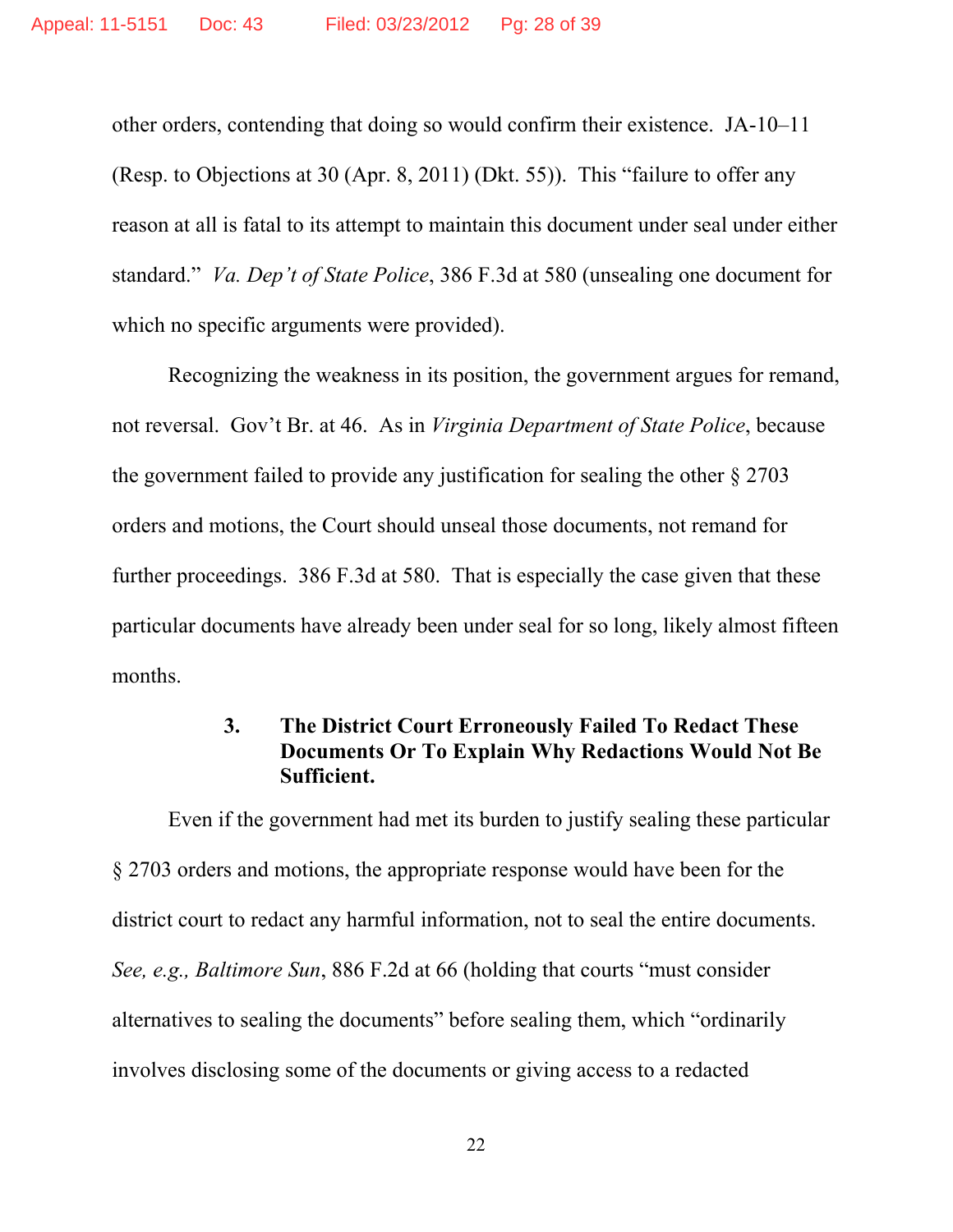other orders, contending that doing so would confirm their existence. JA-10–11 (Resp. to Objections at 30 (Apr. 8, 2011) (Dkt. 55)). This "failure to offer any reason at all is fatal to its attempt to maintain this document under seal under either standard." *Va. Dep't of State Police*, 386 F.3d at 580 (unsealing one document for which no specific arguments were provided).

Recognizing the weakness in its position, the government argues for remand, not reversal. Gov't Br. at 46. As in *Virginia Department of State Police*, because the government failed to provide any justification for sealing the other § 2703 orders and motions, the Court should unseal those documents, not remand for further proceedings. 386 F.3d at 580. That is especially the case given that these particular documents have already been under seal for so long, likely almost fifteen months.

# **3. The District Court Erroneously Failed To Redact These Documents Or To Explain Why Redactions Would Not Be Sufficient.**

Even if the government had met its burden to justify sealing these particular § 2703 orders and motions, the appropriate response would have been for the district court to redact any harmful information, not to seal the entire documents. *See, e.g., Baltimore Sun*, 886 F.2d at 66 (holding that courts "must consider alternatives to sealing the documents" before sealing them, which "ordinarily involves disclosing some of the documents or giving access to a redacted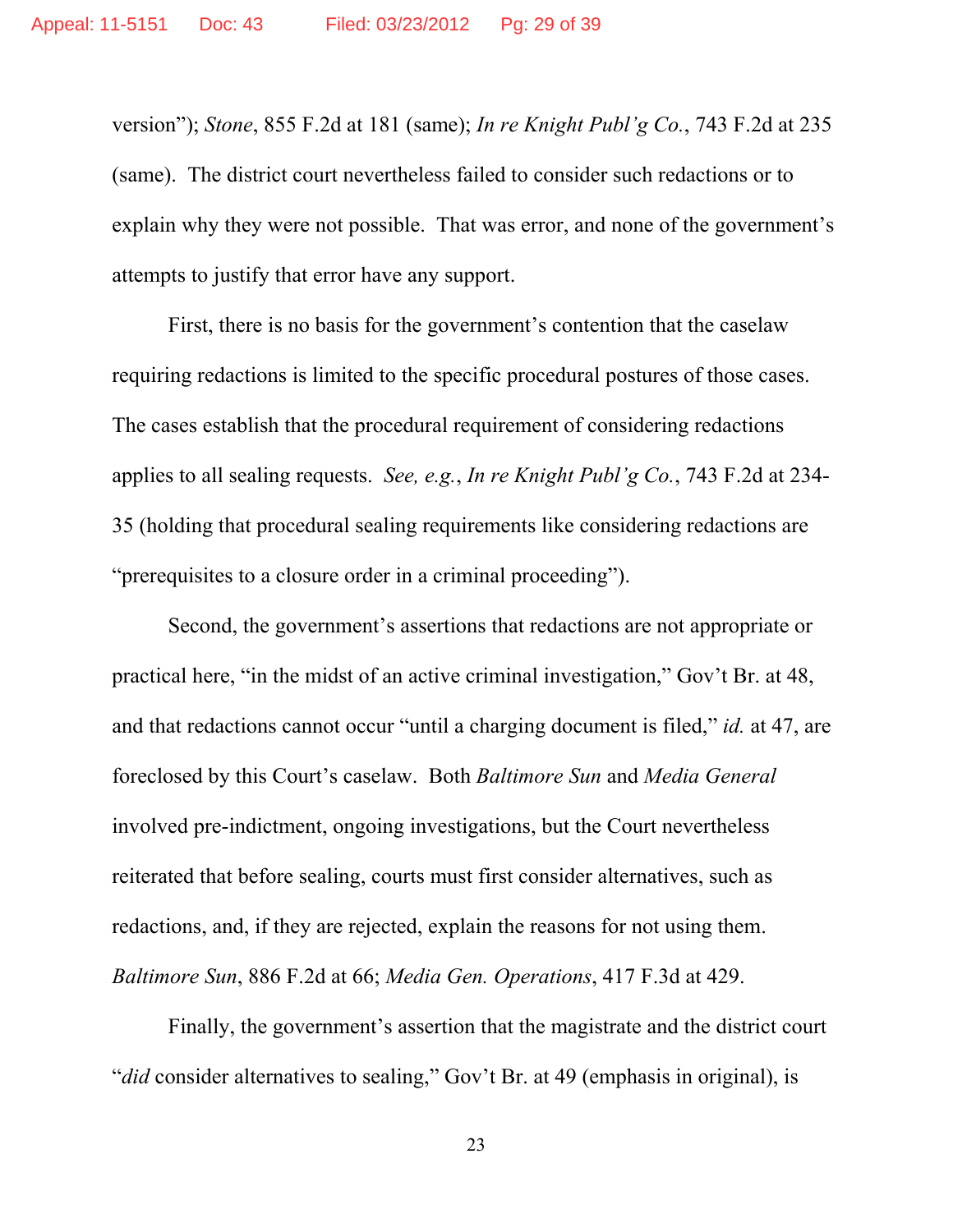version"); *Stone*, 855 F.2d at 181 (same); *In re Knight Publ'g Co.*, 743 F.2d at 235 (same). The district court nevertheless failed to consider such redactions or to explain why they were not possible. That was error, and none of the government's attempts to justify that error have any support.

First, there is no basis for the government's contention that the caselaw requiring redactions is limited to the specific procedural postures of those cases. The cases establish that the procedural requirement of considering redactions applies to all sealing requests. *See, e.g.*, *In re Knight Publ'g Co.*, 743 F.2d at 234- 35 (holding that procedural sealing requirements like considering redactions are "prerequisites to a closure order in a criminal proceeding").

Second, the government's assertions that redactions are not appropriate or practical here, "in the midst of an active criminal investigation," Gov't Br. at 48, and that redactions cannot occur "until a charging document is filed," *id.* at 47, are foreclosed by this Court's caselaw. Both *Baltimore Sun* and *Media General* involved pre-indictment, ongoing investigations, but the Court nevertheless reiterated that before sealing, courts must first consider alternatives, such as redactions, and, if they are rejected, explain the reasons for not using them. *Baltimore Sun*, 886 F.2d at 66; *Media Gen. Operations*, 417 F.3d at 429.

Finally, the government's assertion that the magistrate and the district court "*did* consider alternatives to sealing," Gov't Br. at 49 (emphasis in original), is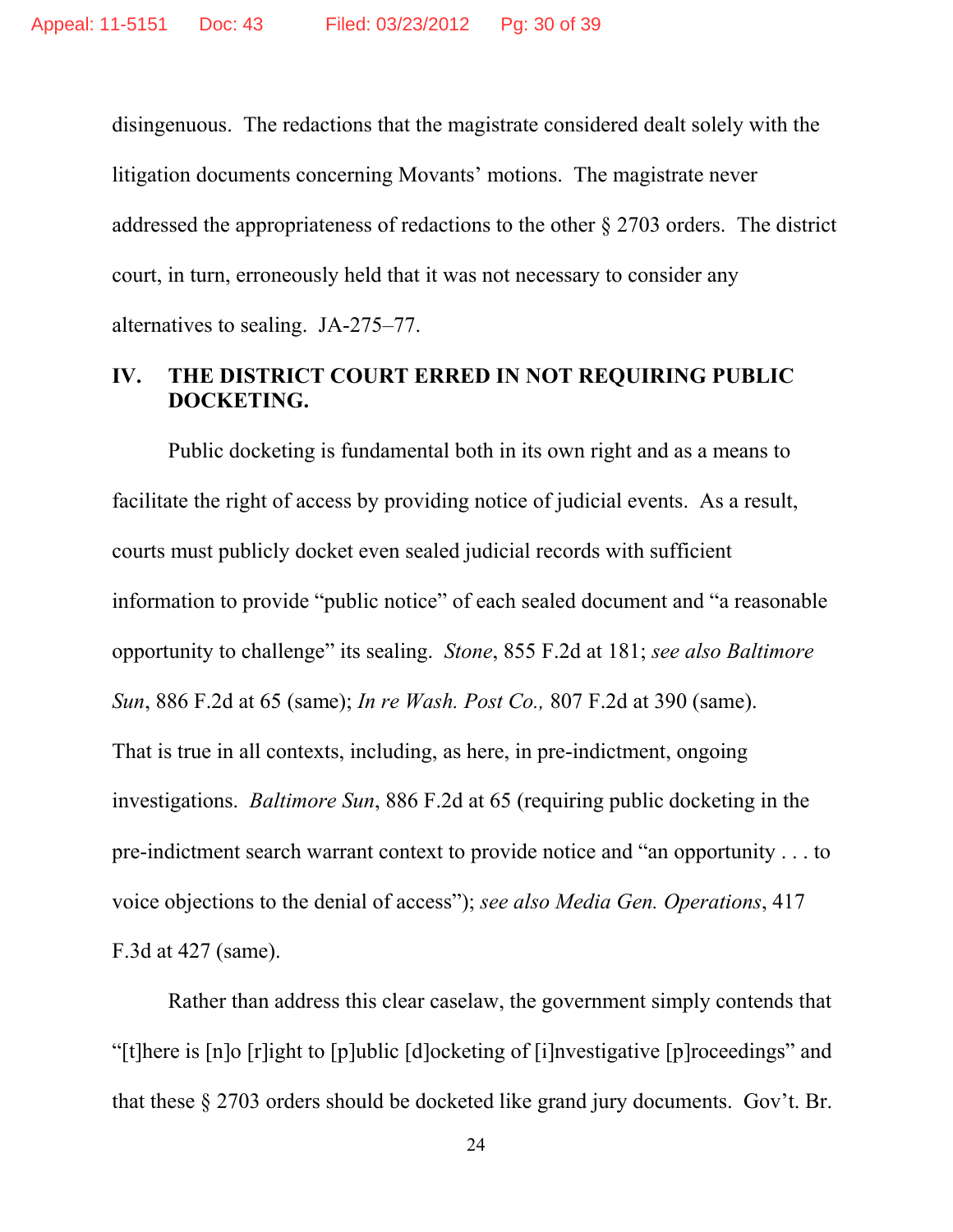disingenuous. The redactions that the magistrate considered dealt solely with the litigation documents concerning Movants' motions. The magistrate never addressed the appropriateness of redactions to the other § 2703 orders. The district court, in turn, erroneously held that it was not necessary to consider any alternatives to sealing. JA-275–77.

### **IV. THE DISTRICT COURT ERRED IN NOT REQUIRING PUBLIC DOCKETING.**

Public docketing is fundamental both in its own right and as a means to facilitate the right of access by providing notice of judicial events. As a result, courts must publicly docket even sealed judicial records with sufficient information to provide "public notice" of each sealed document and "a reasonable opportunity to challenge" its sealing. *Stone*, 855 F.2d at 181; *see also Baltimore Sun*, 886 F.2d at 65 (same); *In re Wash. Post Co.,* 807 F.2d at 390 (same). That is true in all contexts, including, as here, in pre-indictment, ongoing investigations. *Baltimore Sun*, 886 F.2d at 65 (requiring public docketing in the pre-indictment search warrant context to provide notice and "an opportunity . . . to voice objections to the denial of access"); *see also Media Gen. Operations*, 417 F.3d at 427 (same).

Rather than address this clear caselaw, the government simply contends that "[t]here is [n]o [r]ight to [p]ublic [d]ocketing of [i]nvestigative [p]roceedings" and that these § 2703 orders should be docketed like grand jury documents. Gov't. Br.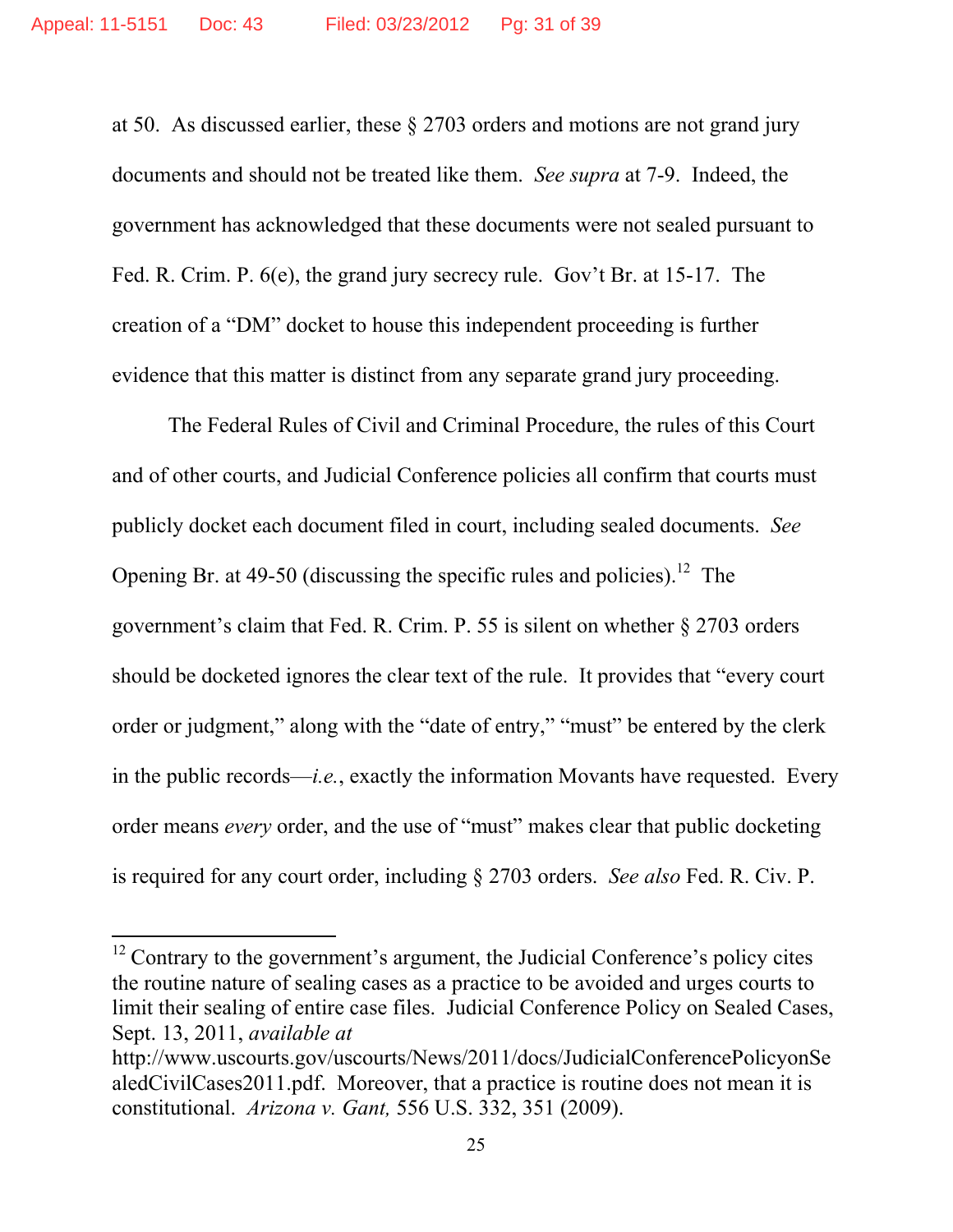at 50. As discussed earlier, these § 2703 orders and motions are not grand jury documents and should not be treated like them. *See supra* at 7-9. Indeed, the government has acknowledged that these documents were not sealed pursuant to Fed. R. Crim. P. 6(e), the grand jury secrecy rule. Gov't Br. at 15-17. The creation of a "DM" docket to house this independent proceeding is further evidence that this matter is distinct from any separate grand jury proceeding.

 The Federal Rules of Civil and Criminal Procedure, the rules of this Court and of other courts, and Judicial Conference policies all confirm that courts must publicly docket each document filed in court, including sealed documents. *See*  Opening Br. at 49-50 (discussing the specific rules and policies).<sup>12</sup> The government's claim that Fed. R. Crim. P. 55 is silent on whether § 2703 orders should be docketed ignores the clear text of the rule. It provides that "every court order or judgment," along with the "date of entry," "must" be entered by the clerk in the public records—*i.e.*, exactly the information Movants have requested. Every order means *every* order, and the use of "must" makes clear that public docketing is required for any court order, including § 2703 orders. *See also* Fed. R. Civ. P.

 $12$  Contrary to the government's argument, the Judicial Conference's policy cites the routine nature of sealing cases as a practice to be avoided and urges courts to limit their sealing of entire case files. Judicial Conference Policy on Sealed Cases, Sept. 13, 2011, *available at* 

http://www.uscourts.gov/uscourts/News/2011/docs/JudicialConferencePolicyonSe aledCivilCases2011.pdf. Moreover, that a practice is routine does not mean it is constitutional. *Arizona v. Gant,* 556 U.S. 332, 351 (2009).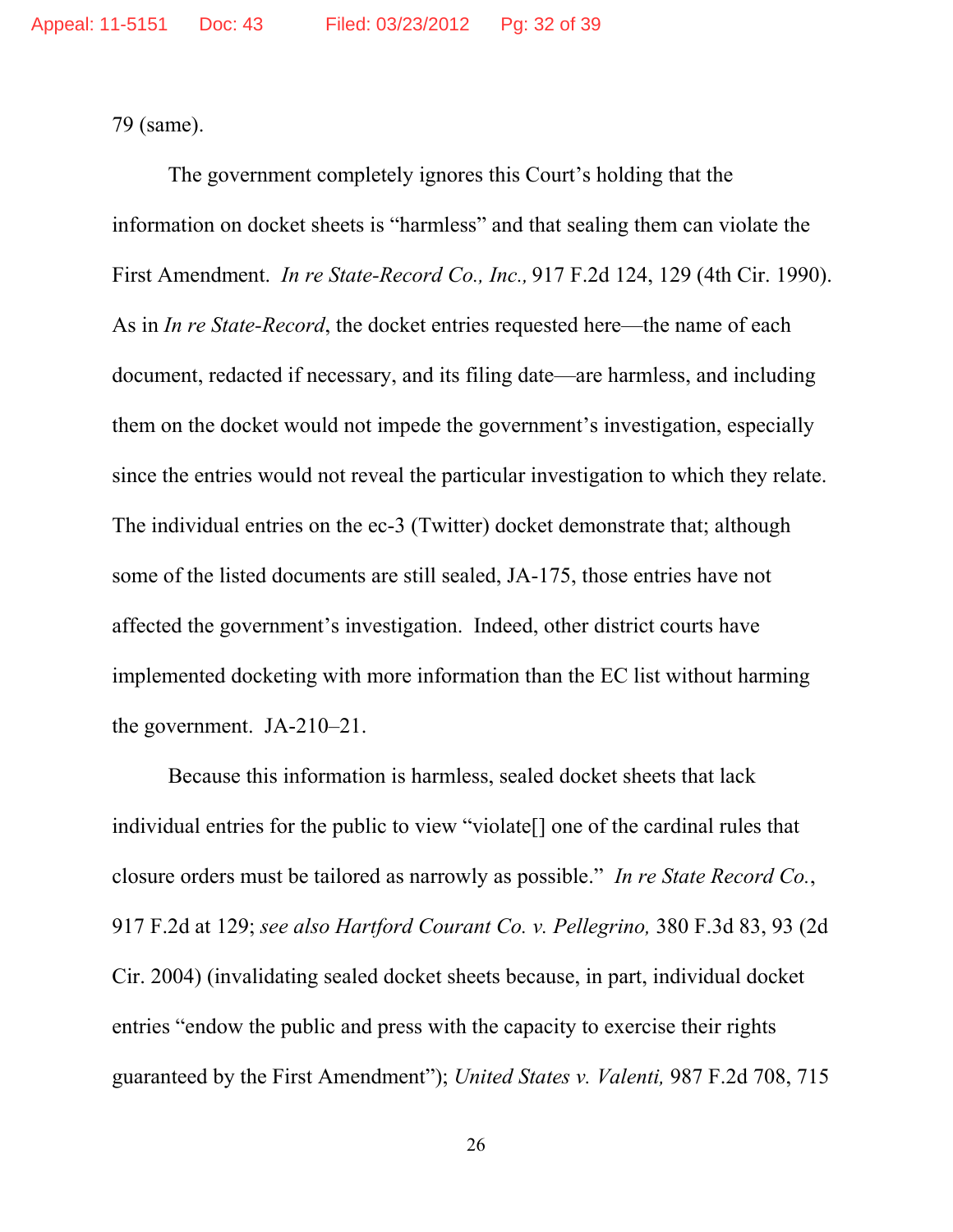79 (same).

The government completely ignores this Court's holding that the information on docket sheets is "harmless" and that sealing them can violate the First Amendment. *In re State-Record Co., Inc.,* 917 F.2d 124, 129 (4th Cir. 1990). As in *In re State-Record*, the docket entries requested here—the name of each document, redacted if necessary, and its filing date—are harmless, and including them on the docket would not impede the government's investigation, especially since the entries would not reveal the particular investigation to which they relate. The individual entries on the ec-3 (Twitter) docket demonstrate that; although some of the listed documents are still sealed, JA-175, those entries have not affected the government's investigation. Indeed, other district courts have implemented docketing with more information than the EC list without harming the government. JA-210–21.

Because this information is harmless, sealed docket sheets that lack individual entries for the public to view "violate[] one of the cardinal rules that closure orders must be tailored as narrowly as possible." *In re State Record Co.*, 917 F.2d at 129; *see also Hartford Courant Co. v. Pellegrino,* 380 F.3d 83, 93 (2d Cir. 2004) (invalidating sealed docket sheets because, in part, individual docket entries "endow the public and press with the capacity to exercise their rights guaranteed by the First Amendment"); *United States v. Valenti,* 987 F.2d 708, 715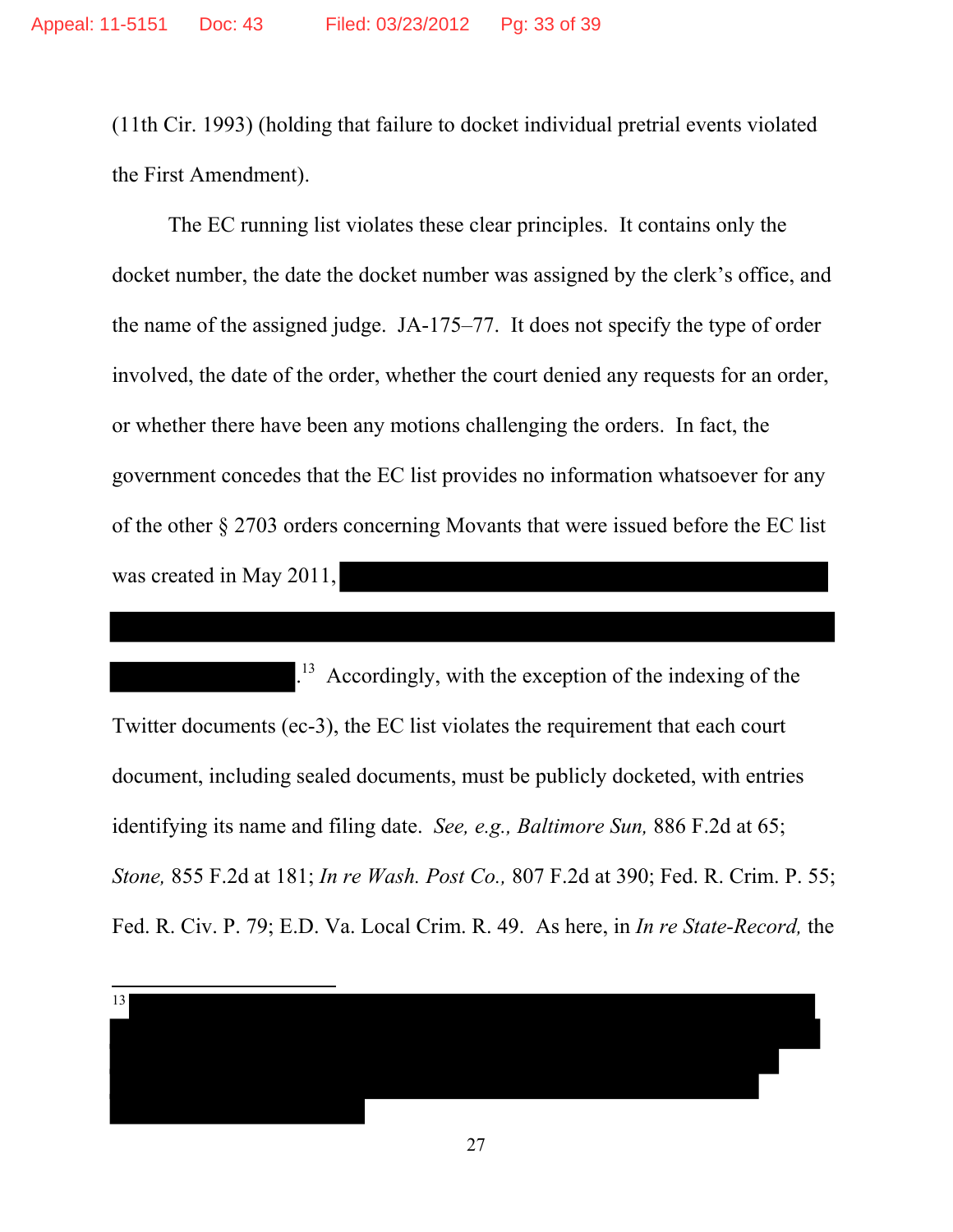(11th Cir. 1993) (holding that failure to docket individual pretrial events violated the First Amendment).

The EC running list violates these clear principles. It contains only the docket number, the date the docket number was assigned by the clerk's office, and the name of the assigned judge. JA-175–77. It does not specify the type of order involved, the date of the order, whether the court denied any requests for an order, or whether there have been any motions challenging the orders. In fact, the government concedes that the EC list provides no information whatsoever for any of the other § 2703 orders concerning Movants that were issued before the EC list was created in May 2011,

. 13 Accordingly, with the exception of the indexing of the Twitter documents (ec-3), the EC list violates the requirement that each court document, including sealed documents, must be publicly docketed, with entries identifying its name and filing date. *See, e.g., Baltimore Sun,* 886 F.2d at 65; *Stone,* 855 F.2d at 181; *In re Wash. Post Co.,* 807 F.2d at 390; Fed. R. Crim. P. 55; Fed. R. Civ. P. 79; E.D. Va. Local Crim. R. 49. As here, in *In re State-Record,* the

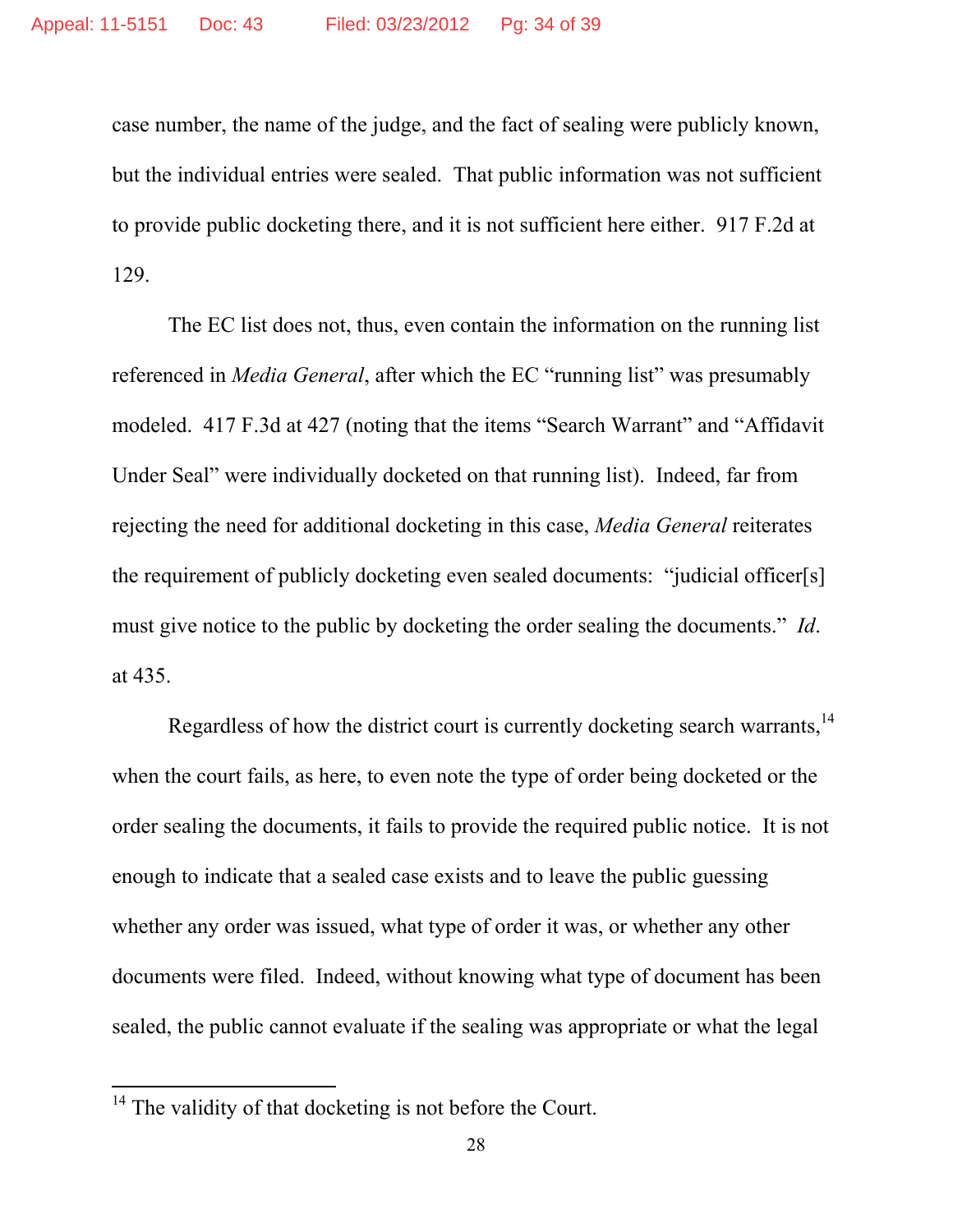case number, the name of the judge, and the fact of sealing were publicly known, but the individual entries were sealed. That public information was not sufficient to provide public docketing there, and it is not sufficient here either. 917 F.2d at 129.

The EC list does not, thus, even contain the information on the running list referenced in *Media General*, after which the EC "running list" was presumably modeled. 417 F.3d at 427 (noting that the items "Search Warrant" and "Affidavit Under Seal" were individually docketed on that running list). Indeed, far from rejecting the need for additional docketing in this case, *Media General* reiterates the requirement of publicly docketing even sealed documents: "judicial officer[s] must give notice to the public by docketing the order sealing the documents." *Id*. at 435.

Regardless of how the district court is currently docketing search warrants.<sup>14</sup> when the court fails, as here, to even note the type of order being docketed or the order sealing the documents, it fails to provide the required public notice. It is not enough to indicate that a sealed case exists and to leave the public guessing whether any order was issued, what type of order it was, or whether any other documents were filed. Indeed, without knowing what type of document has been sealed, the public cannot evaluate if the sealing was appropriate or what the legal

<sup>&</sup>lt;sup>14</sup> The validity of that docketing is not before the Court.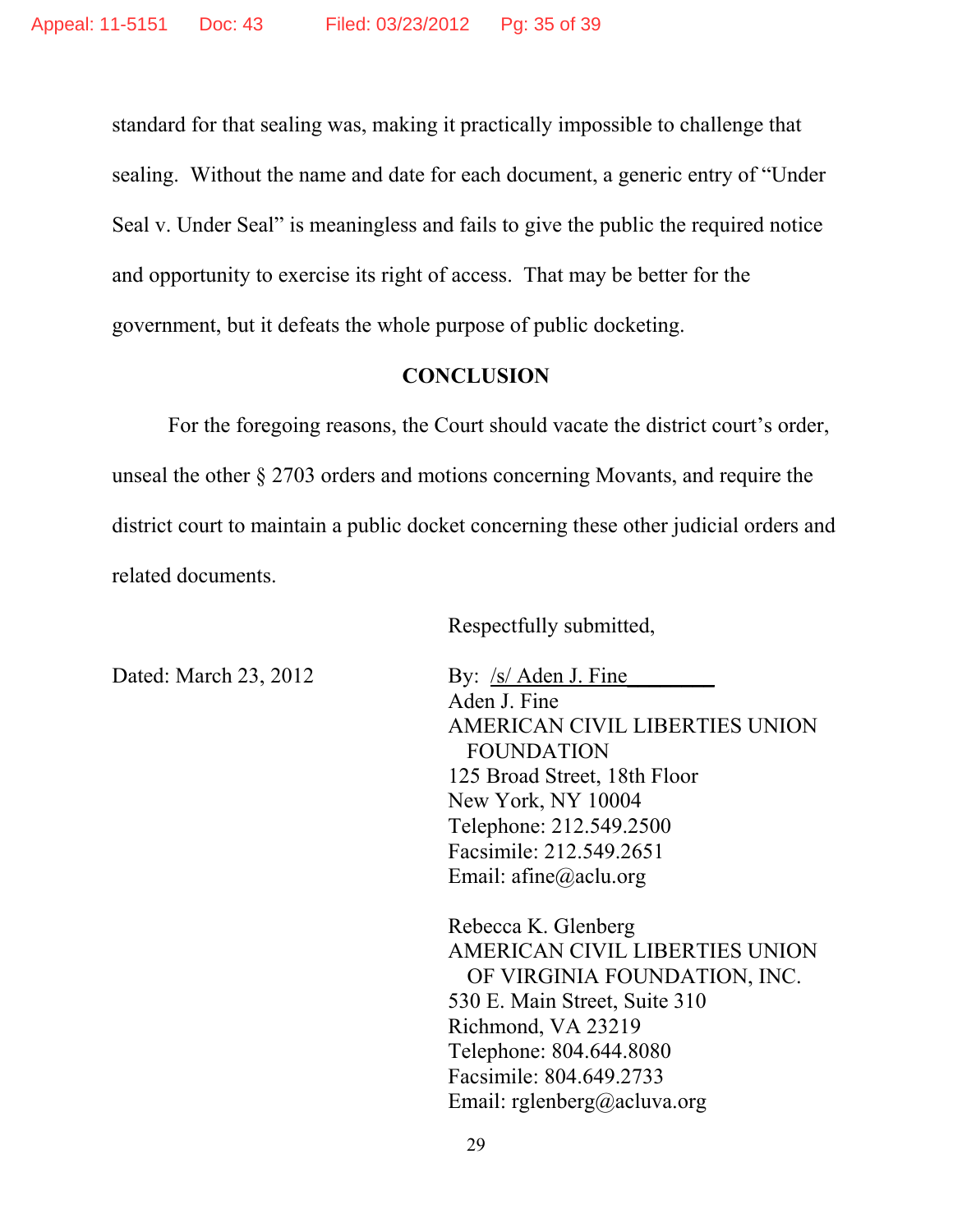standard for that sealing was, making it practically impossible to challenge that sealing. Without the name and date for each document, a generic entry of "Under Seal v. Under Seal" is meaningless and fails to give the public the required notice and opportunity to exercise its right of access. That may be better for the government, but it defeats the whole purpose of public docketing.

### **CONCLUSION**

 For the foregoing reasons, the Court should vacate the district court's order, unseal the other § 2703 orders and motions concerning Movants, and require the district court to maintain a public docket concerning these other judicial orders and related documents.

Respectfully submitted,

Dated: March 23, 2012 By:  $\frac{s}{s}$  Aden J. Fine

Aden J. Fine AMERICAN CIVIL LIBERTIES UNION FOUNDATION 125 Broad Street, 18th Floor New York, NY 10004 Telephone: 212.549.2500 Facsimile: 212.549.2651 Email: afine@aclu.org

Rebecca K. Glenberg AMERICAN CIVIL LIBERTIES UNION OF VIRGINIA FOUNDATION, INC. 530 E. Main Street, Suite 310 Richmond, VA 23219 Telephone: 804.644.8080 Facsimile: 804.649.2733 Email: rglenberg@acluva.org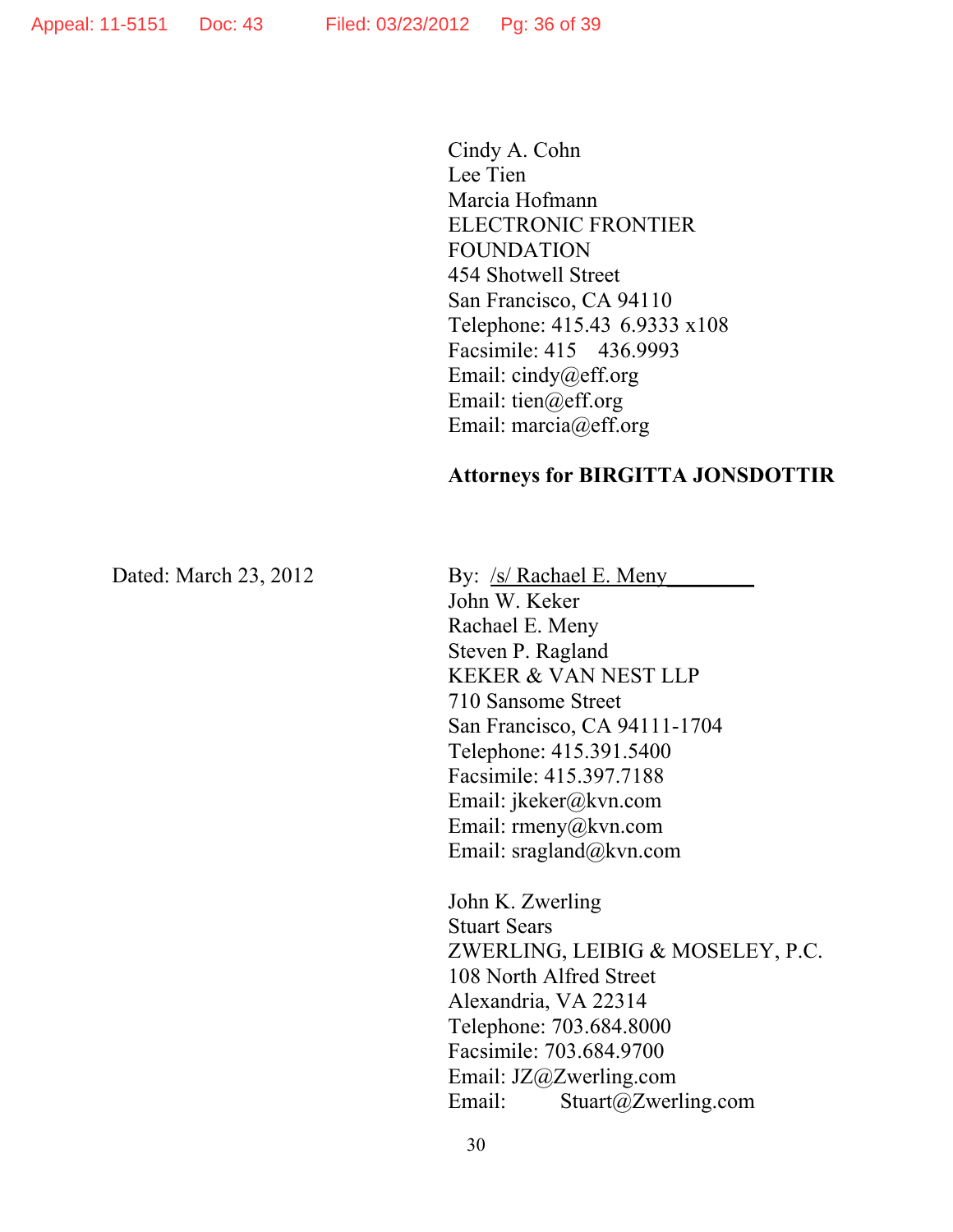Cindy A. Cohn Lee Tien Marcia Hofmann ELECTRONIC FRONTIER FOUNDATION 454 Shotwell Street San Francisco, CA 94110 Telephone: 415.43 6.9333 x108 Facsimile: 415 436.9993 Email: cindy@eff.org Email: tien@eff.org Email: marcia@eff.org

#### **Attorneys for BIRGITTA JONSDOTTIR**

Dated: March 23, 2012 By: /s/ Rachael E. Meny

John W. Keker Rachael E. Meny Steven P. Ragland KEKER & VAN NEST LLP 710 Sansome Street San Francisco, CA 94111-1704 Telephone: 415.391.5400 Facsimile: 415.397.7188 Email: jkeker@kvn.com Email: rmeny@kvn.com Email: sragland@kvn.com

John K. Zwerling Stuart Sears ZWERLING, LEIBIG & MOSELEY, P.C. 108 North Alfred Street Alexandria, VA 22314 Telephone: 703.684.8000 Facsimile: 703.684.9700 Email: JZ@Zwerling.com Email: Stuart@Zwerling.com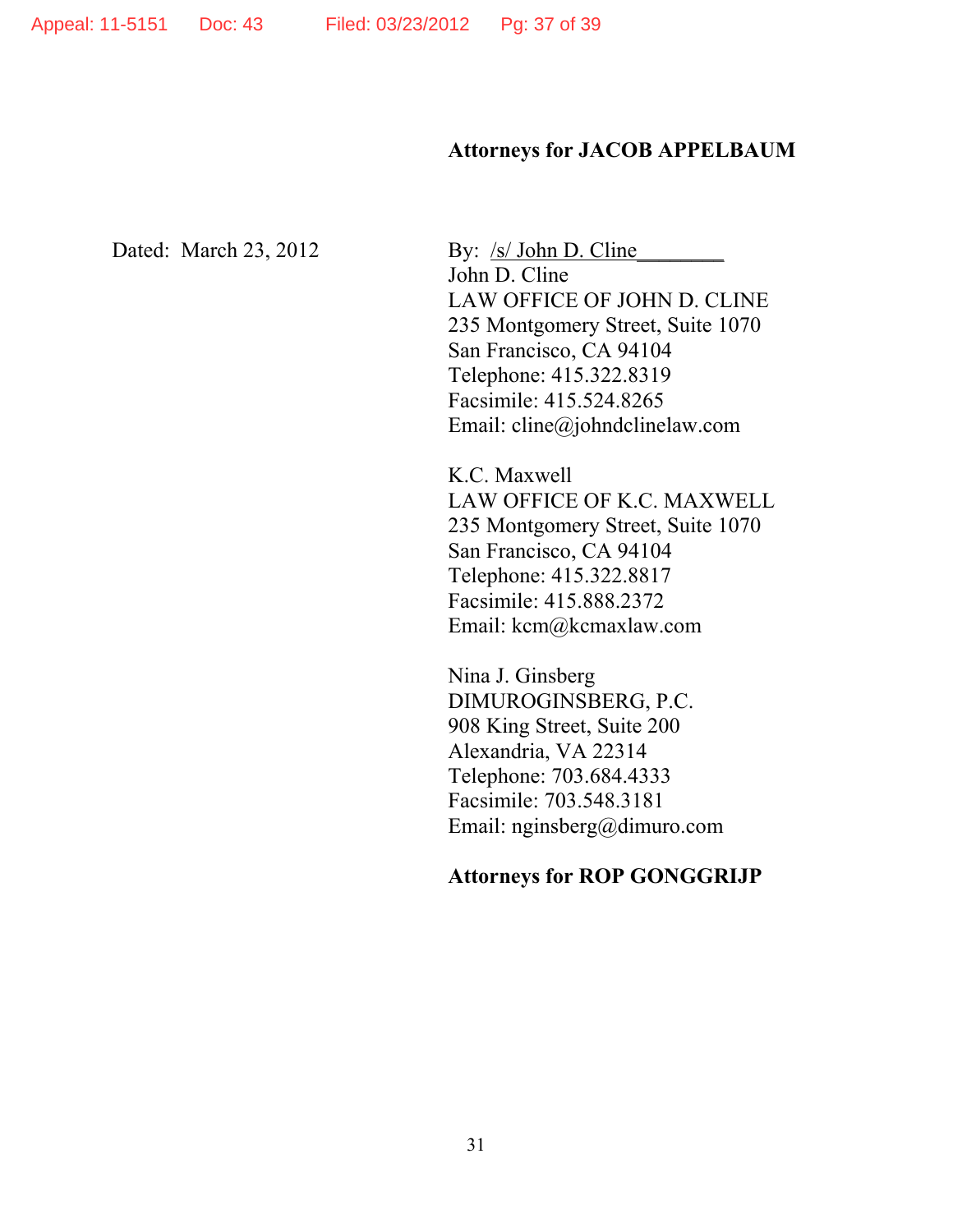#### **Attorneys for JACOB APPELBAUM**

Dated: March 23, 2012 By: /s/ John D. Cline John D. Cline LAW OFFICE OF JOHN D. CLINE 235 Montgomery Street, Suite 1070 San Francisco, CA 94104 Telephone: 415.322.8319 Facsimile: 415.524.8265 Email: cline@johndclinelaw.com

> K.C. Maxwell LAW OFFICE OF K.C. MAXWELL 235 Montgomery Street, Suite 1070 San Francisco, CA 94104 Telephone: 415.322.8817 Facsimile: 415.888.2372 Email: kcm@kcmaxlaw.com

Nina J. Ginsberg DIMUROGINSBERG, P.C. 908 King Street, Suite 200 Alexandria, VA 22314 Telephone: 703.684.4333 Facsimile: 703.548.3181 Email: nginsberg@dimuro.com

### **Attorneys for ROP GONGGRIJP**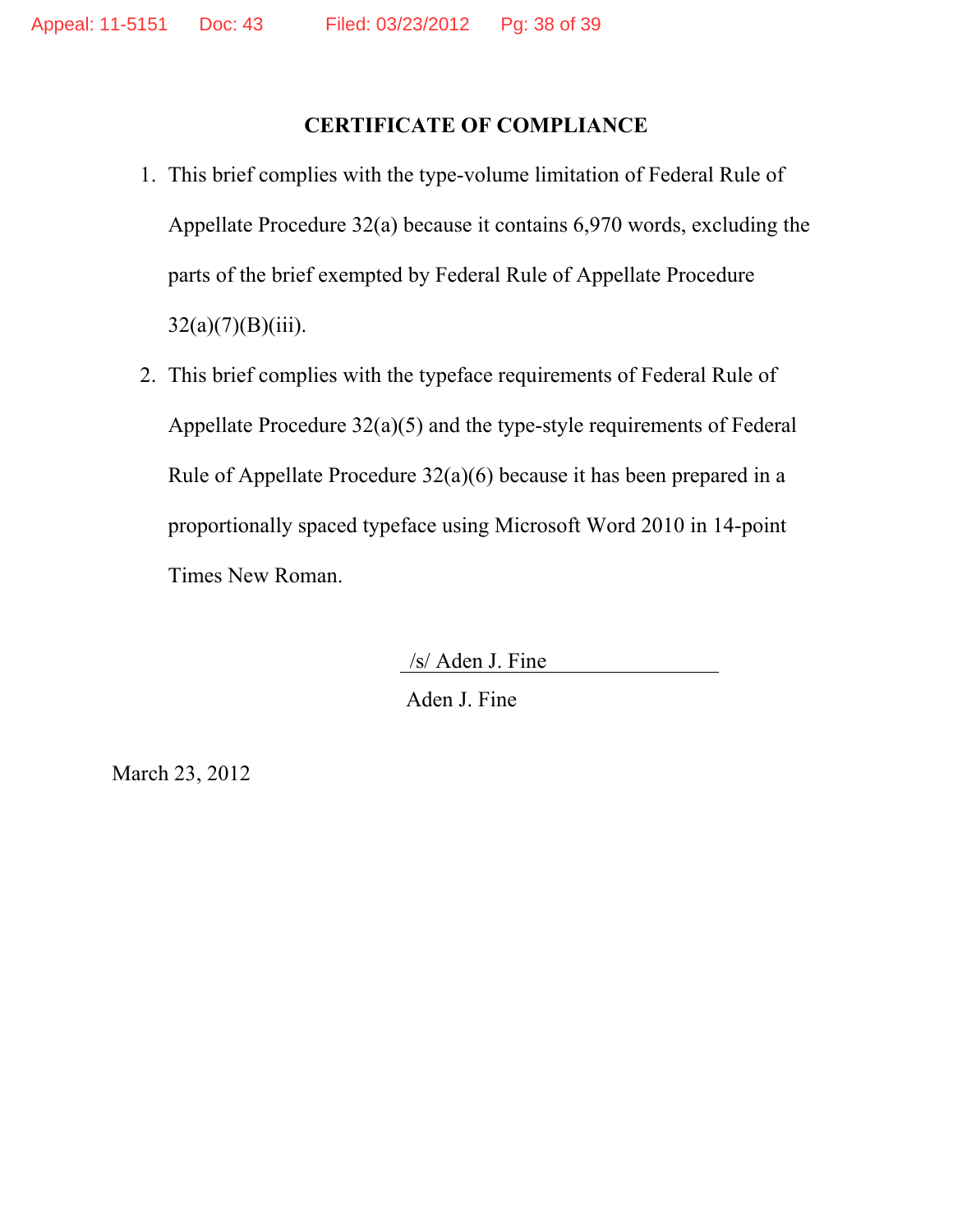# **CERTIFICATE OF COMPLIANCE**

- 1. This brief complies with the type-volume limitation of Federal Rule of Appellate Procedure 32(a) because it contains 6,970 words, excluding the parts of the brief exempted by Federal Rule of Appellate Procedure  $32(a)(7)(B)(iii)$ .
- 2. This brief complies with the typeface requirements of Federal Rule of Appellate Procedure 32(a)(5) and the type-style requirements of Federal Rule of Appellate Procedure 32(a)(6) because it has been prepared in a proportionally spaced typeface using Microsoft Word 2010 in 14-point Times New Roman.

/s/ Aden J. Fine

Aden J. Fine

March 23, 2012